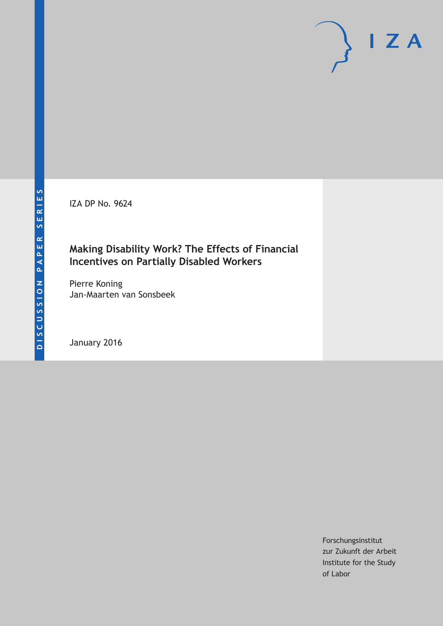IZA DP No. 9624

# **Making Disability Work? The Effects of Financial Incentives on Partially Disabled Workers**

Pierre Koning Jan-Maarten van Sonsbeek

January 2016

Forschungsinstitut zur Zukunft der Arbeit Institute for the Study of Labor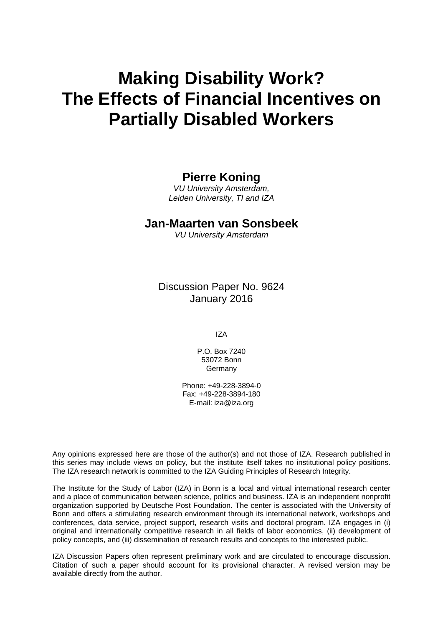# **Making Disability Work? The Effects of Financial Incentives on Partially Disabled Workers**

# **Pierre Koning**

*VU University Amsterdam, Leiden University, TI and IZA* 

# **Jan-Maarten van Sonsbeek**

*VU University Amsterdam* 

Discussion Paper No. 9624 January 2016

IZA

P.O. Box 7240 53072 Bonn Germany

Phone: +49-228-3894-0 Fax: +49-228-3894-180 E-mail: iza@iza.org

Any opinions expressed here are those of the author(s) and not those of IZA. Research published in this series may include views on policy, but the institute itself takes no institutional policy positions. The IZA research network is committed to the IZA Guiding Principles of Research Integrity.

The Institute for the Study of Labor (IZA) in Bonn is a local and virtual international research center and a place of communication between science, politics and business. IZA is an independent nonprofit organization supported by Deutsche Post Foundation. The center is associated with the University of Bonn and offers a stimulating research environment through its international network, workshops and conferences, data service, project support, research visits and doctoral program. IZA engages in (i) original and internationally competitive research in all fields of labor economics, (ii) development of policy concepts, and (iii) dissemination of research results and concepts to the interested public.

IZA Discussion Papers often represent preliminary work and are circulated to encourage discussion. Citation of such a paper should account for its provisional character. A revised version may be available directly from the author.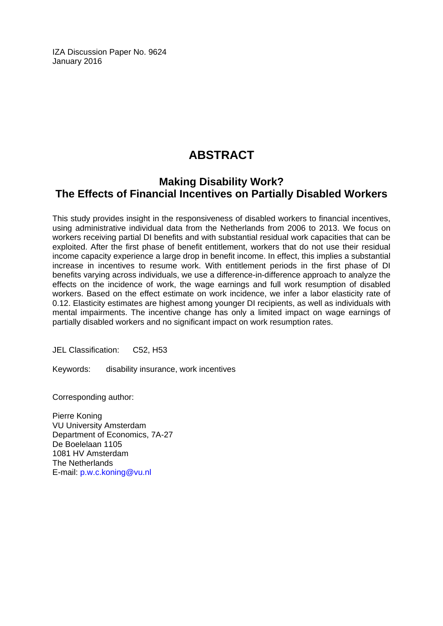IZA Discussion Paper No. 9624 January 2016

# **ABSTRACT**

# **Making Disability Work? The Effects of Financial Incentives on Partially Disabled Workers**

This study provides insight in the responsiveness of disabled workers to financial incentives, using administrative individual data from the Netherlands from 2006 to 2013. We focus on workers receiving partial DI benefits and with substantial residual work capacities that can be exploited. After the first phase of benefit entitlement, workers that do not use their residual income capacity experience a large drop in benefit income. In effect, this implies a substantial increase in incentives to resume work. With entitlement periods in the first phase of DI benefits varying across individuals, we use a difference-in-difference approach to analyze the effects on the incidence of work, the wage earnings and full work resumption of disabled workers. Based on the effect estimate on work incidence, we infer a labor elasticity rate of 0.12. Elasticity estimates are highest among younger DI recipients, as well as individuals with mental impairments. The incentive change has only a limited impact on wage earnings of partially disabled workers and no significant impact on work resumption rates.

JEL Classification: C52, H53

Keywords: disability insurance, work incentives

Corresponding author:

Pierre Koning VU University Amsterdam Department of Economics, 7A-27 De Boelelaan 1105 1081 HV Amsterdam The Netherlands E-mail: p.w.c.koning@vu.nl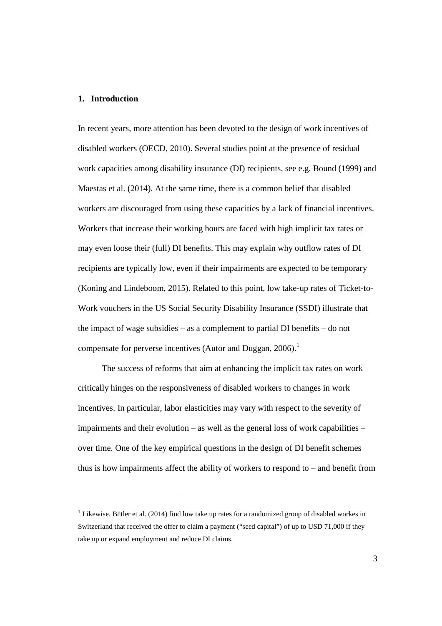#### **1. Introduction**

-

In recent years, more attention has been devoted to the design of work incentives of disabled workers (OECD, 2010). Several studies point at the presence of residual work capacities among disability insurance (DI) recipients, see e.g. Bound (1999) and Maestas et al. (2014). At the same time, there is a common belief that disabled workers are discouraged from using these capacities by a lack of financial incentives. Workers that increase their working hours are faced with high implicit tax rates or may even loose their (full) DI benefits. This may explain why outflow rates of DI recipients are typically low, even if their impairments are expected to be temporary (Koning and Lindeboom, 2015). Related to this point, low take-up rates of Ticket-to-Work vouchers in the US Social Security Disability Insurance (SSDI) illustrate that the impact of wage subsidies – as a complement to partial DI benefits – do not compensate for perverse incentives (Autor and Duggan,  $2006$ ).<sup>1</sup>

 The success of reforms that aim at enhancing the implicit tax rates on work critically hinges on the responsiveness of disabled workers to changes in work incentives. In particular, labor elasticities may vary with respect to the severity of impairments and their evolution – as well as the general loss of work capabilities – over time. One of the key empirical questions in the design of DI benefit schemes thus is how impairments affect the ability of workers to respond to – and benefit from

 $1$  Likewise, Bütler et al. (2014) find low take up rates for a randomized group of disabled workes in Switzerland that received the offer to claim a payment ("seed capital") of up to USD 71,000 if they take up or expand employment and reduce DI claims.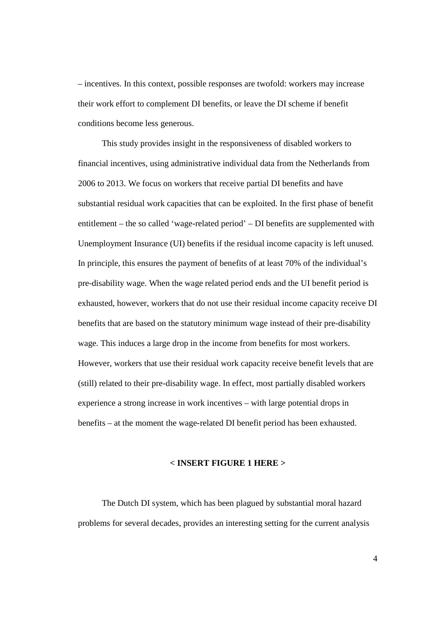– incentives. In this context, possible responses are twofold: workers may increase their work effort to complement DI benefits, or leave the DI scheme if benefit conditions become less generous.

 This study provides insight in the responsiveness of disabled workers to financial incentives, using administrative individual data from the Netherlands from 2006 to 2013. We focus on workers that receive partial DI benefits and have substantial residual work capacities that can be exploited. In the first phase of benefit entitlement – the so called 'wage-related period' – DI benefits are supplemented with Unemployment Insurance (UI) benefits if the residual income capacity is left unused. In principle, this ensures the payment of benefits of at least 70% of the individual's pre-disability wage. When the wage related period ends and the UI benefit period is exhausted, however, workers that do not use their residual income capacity receive DI benefits that are based on the statutory minimum wage instead of their pre-disability wage. This induces a large drop in the income from benefits for most workers. However, workers that use their residual work capacity receive benefit levels that are (still) related to their pre-disability wage. In effect, most partially disabled workers experience a strong increase in work incentives – with large potential drops in benefits – at the moment the wage-related DI benefit period has been exhausted.

#### **< INSERT FIGURE 1 HERE >**

 The Dutch DI system, which has been plagued by substantial moral hazard problems for several decades, provides an interesting setting for the current analysis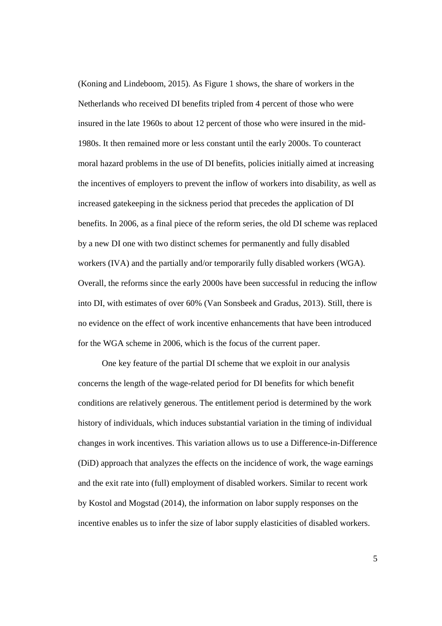(Koning and Lindeboom, 2015). As Figure 1 shows, the share of workers in the Netherlands who received DI benefits tripled from 4 percent of those who were insured in the late 1960s to about 12 percent of those who were insured in the mid-1980s. It then remained more or less constant until the early 2000s. To counteract moral hazard problems in the use of DI benefits, policies initially aimed at increasing the incentives of employers to prevent the inflow of workers into disability, as well as increased gatekeeping in the sickness period that precedes the application of DI benefits. In 2006, as a final piece of the reform series, the old DI scheme was replaced by a new DI one with two distinct schemes for permanently and fully disabled workers (IVA) and the partially and/or temporarily fully disabled workers (WGA). Overall, the reforms since the early 2000s have been successful in reducing the inflow into DI, with estimates of over 60% (Van Sonsbeek and Gradus, 2013). Still, there is no evidence on the effect of work incentive enhancements that have been introduced for the WGA scheme in 2006, which is the focus of the current paper.

 One key feature of the partial DI scheme that we exploit in our analysis concerns the length of the wage-related period for DI benefits for which benefit conditions are relatively generous. The entitlement period is determined by the work history of individuals, which induces substantial variation in the timing of individual changes in work incentives. This variation allows us to use a Difference-in-Difference (DiD) approach that analyzes the effects on the incidence of work, the wage earnings and the exit rate into (full) employment of disabled workers. Similar to recent work by Kostol and Mogstad (2014), the information on labor supply responses on the incentive enables us to infer the size of labor supply elasticities of disabled workers.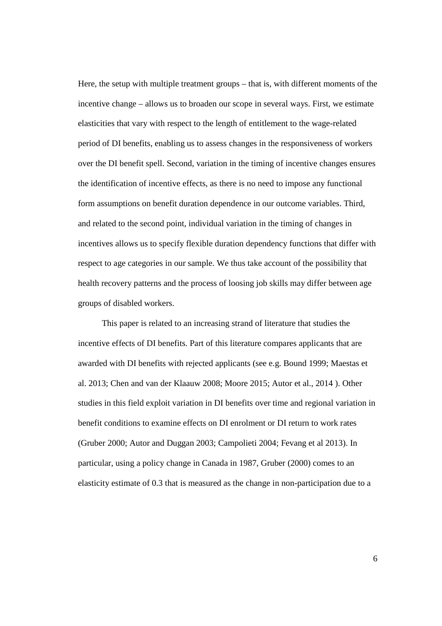Here, the setup with multiple treatment groups – that is, with different moments of the incentive change – allows us to broaden our scope in several ways. First, we estimate elasticities that vary with respect to the length of entitlement to the wage-related period of DI benefits, enabling us to assess changes in the responsiveness of workers over the DI benefit spell. Second, variation in the timing of incentive changes ensures the identification of incentive effects, as there is no need to impose any functional form assumptions on benefit duration dependence in our outcome variables. Third, and related to the second point, individual variation in the timing of changes in incentives allows us to specify flexible duration dependency functions that differ with respect to age categories in our sample. We thus take account of the possibility that health recovery patterns and the process of loosing job skills may differ between age groups of disabled workers.

 This paper is related to an increasing strand of literature that studies the incentive effects of DI benefits. Part of this literature compares applicants that are awarded with DI benefits with rejected applicants (see e.g. Bound 1999; Maestas et al. 2013; Chen and van der Klaauw 2008; Moore 2015; Autor et al., 2014 ). Other studies in this field exploit variation in DI benefits over time and regional variation in benefit conditions to examine effects on DI enrolment or DI return to work rates (Gruber 2000; Autor and Duggan 2003; Campolieti 2004; Fevang et al 2013). In particular, using a policy change in Canada in 1987, Gruber (2000) comes to an elasticity estimate of 0.3 that is measured as the change in non-participation due to a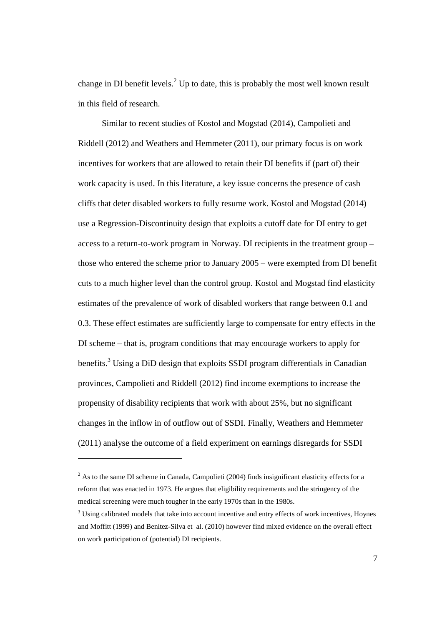change in DI benefit levels.<sup>2</sup> Up to date, this is probably the most well known result in this field of research.

 Similar to recent studies of Kostol and Mogstad (2014), Campolieti and Riddell (2012) and Weathers and Hemmeter (2011), our primary focus is on work incentives for workers that are allowed to retain their DI benefits if (part of) their work capacity is used. In this literature, a key issue concerns the presence of cash cliffs that deter disabled workers to fully resume work. Kostol and Mogstad (2014) use a Regression-Discontinuity design that exploits a cutoff date for DI entry to get access to a return-to-work program in Norway. DI recipients in the treatment group – those who entered the scheme prior to January 2005 – were exempted from DI benefit cuts to a much higher level than the control group. Kostol and Mogstad find elasticity estimates of the prevalence of work of disabled workers that range between 0.1 and 0.3. These effect estimates are sufficiently large to compensate for entry effects in the DI scheme – that is, program conditions that may encourage workers to apply for benefits.<sup>3</sup> Using a DiD design that exploits SSDI program differentials in Canadian provinces, Campolieti and Riddell (2012) find income exemptions to increase the propensity of disability recipients that work with about 25%, but no significant changes in the inflow in of outflow out of SSDI. Finally, Weathers and Hemmeter (2011) analyse the outcome of a field experiment on earnings disregards for SSDI

-

 $2^2$  As to the same DI scheme in Canada, Campolieti (2004) finds insignificant elasticity effects for a reform that was enacted in 1973. He argues that eligibility requirements and the stringency of the medical screening were much tougher in the early 1970s than in the 1980s.

<sup>&</sup>lt;sup>3</sup> Using calibrated models that take into account incentive and entry effects of work incentives, Hoynes and Moffitt (1999) and Benítez-Silva et al. (2010) however find mixed evidence on the overall effect on work participation of (potential) DI recipients.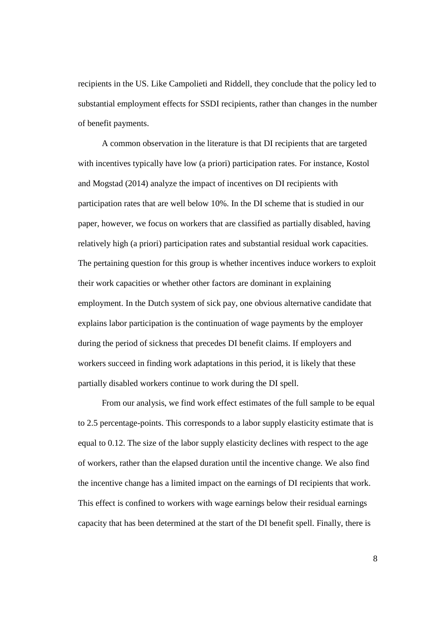recipients in the US. Like Campolieti and Riddell, they conclude that the policy led to substantial employment effects for SSDI recipients, rather than changes in the number of benefit payments.

 A common observation in the literature is that DI recipients that are targeted with incentives typically have low (a priori) participation rates. For instance, Kostol and Mogstad (2014) analyze the impact of incentives on DI recipients with participation rates that are well below 10%. In the DI scheme that is studied in our paper, however, we focus on workers that are classified as partially disabled, having relatively high (a priori) participation rates and substantial residual work capacities. The pertaining question for this group is whether incentives induce workers to exploit their work capacities or whether other factors are dominant in explaining employment. In the Dutch system of sick pay, one obvious alternative candidate that explains labor participation is the continuation of wage payments by the employer during the period of sickness that precedes DI benefit claims. If employers and workers succeed in finding work adaptations in this period, it is likely that these partially disabled workers continue to work during the DI spell.

From our analysis, we find work effect estimates of the full sample to be equal to 2.5 percentage-points. This corresponds to a labor supply elasticity estimate that is equal to 0.12. The size of the labor supply elasticity declines with respect to the age of workers, rather than the elapsed duration until the incentive change. We also find the incentive change has a limited impact on the earnings of DI recipients that work. This effect is confined to workers with wage earnings below their residual earnings capacity that has been determined at the start of the DI benefit spell. Finally, there is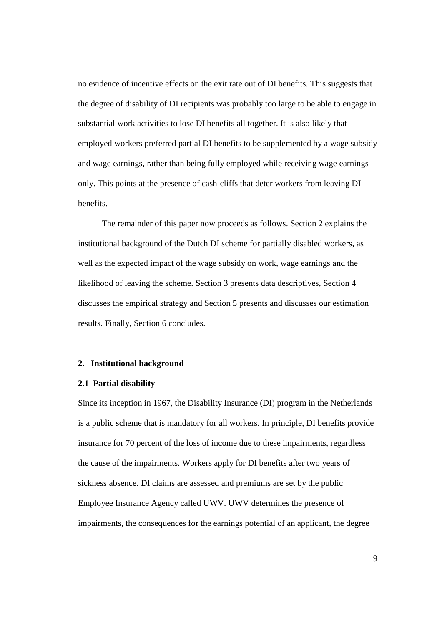no evidence of incentive effects on the exit rate out of DI benefits. This suggests that the degree of disability of DI recipients was probably too large to be able to engage in substantial work activities to lose DI benefits all together. It is also likely that employed workers preferred partial DI benefits to be supplemented by a wage subsidy and wage earnings, rather than being fully employed while receiving wage earnings only. This points at the presence of cash-cliffs that deter workers from leaving DI benefits.

The remainder of this paper now proceeds as follows. Section 2 explains the institutional background of the Dutch DI scheme for partially disabled workers, as well as the expected impact of the wage subsidy on work, wage earnings and the likelihood of leaving the scheme. Section 3 presents data descriptives, Section 4 discusses the empirical strategy and Section 5 presents and discusses our estimation results. Finally, Section 6 concludes.

#### **2. Institutional background**

#### **2.1 Partial disability**

Since its inception in 1967, the Disability Insurance (DI) program in the Netherlands is a public scheme that is mandatory for all workers. In principle, DI benefits provide insurance for 70 percent of the loss of income due to these impairments, regardless the cause of the impairments. Workers apply for DI benefits after two years of sickness absence. DI claims are assessed and premiums are set by the public Employee Insurance Agency called UWV. UWV determines the presence of impairments, the consequences for the earnings potential of an applicant, the degree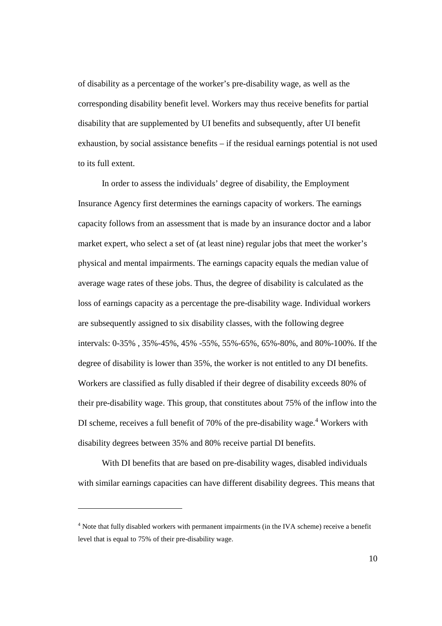of disability as a percentage of the worker's pre-disability wage, as well as the corresponding disability benefit level. Workers may thus receive benefits for partial disability that are supplemented by UI benefits and subsequently, after UI benefit exhaustion, by social assistance benefits – if the residual earnings potential is not used to its full extent.

In order to assess the individuals' degree of disability, the Employment Insurance Agency first determines the earnings capacity of workers. The earnings capacity follows from an assessment that is made by an insurance doctor and a labor market expert, who select a set of (at least nine) regular jobs that meet the worker's physical and mental impairments. The earnings capacity equals the median value of average wage rates of these jobs. Thus, the degree of disability is calculated as the loss of earnings capacity as a percentage the pre-disability wage. Individual workers are subsequently assigned to six disability classes, with the following degree intervals: 0-35% , 35%-45%, 45% -55%, 55%-65%, 65%-80%, and 80%-100%. If the degree of disability is lower than 35%, the worker is not entitled to any DI benefits. Workers are classified as fully disabled if their degree of disability exceeds 80% of their pre-disability wage. This group, that constitutes about 75% of the inflow into the DI scheme, receives a full benefit of 70% of the pre-disability wage.<sup>4</sup> Workers with disability degrees between 35% and 80% receive partial DI benefits.

With DI benefits that are based on pre-disability wages, disabled individuals with similar earnings capacities can have different disability degrees. This means that

-

<sup>&</sup>lt;sup>4</sup> Note that fully disabled workers with permanent impairments (in the IVA scheme) receive a benefit level that is equal to 75% of their pre-disability wage.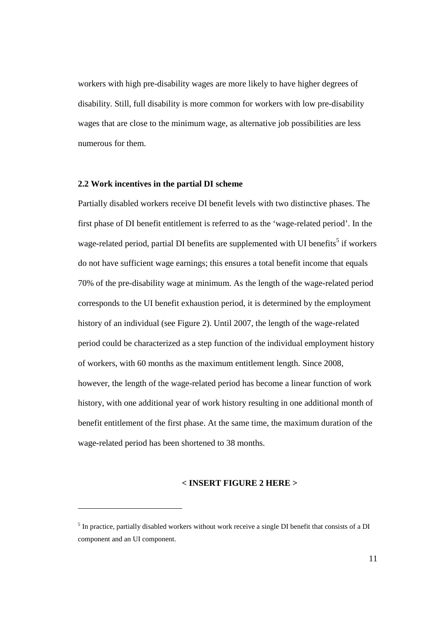workers with high pre-disability wages are more likely to have higher degrees of disability. Still, full disability is more common for workers with low pre-disability wages that are close to the minimum wage, as alternative job possibilities are less numerous for them.

#### **2.2 Work incentives in the partial DI scheme**

-

Partially disabled workers receive DI benefit levels with two distinctive phases. The first phase of DI benefit entitlement is referred to as the 'wage-related period'. In the wage-related period, partial DI benefits are supplemented with UI benefits<sup>5</sup> if workers do not have sufficient wage earnings; this ensures a total benefit income that equals 70% of the pre-disability wage at minimum. As the length of the wage-related period corresponds to the UI benefit exhaustion period, it is determined by the employment history of an individual (see Figure 2). Until 2007, the length of the wage-related period could be characterized as a step function of the individual employment history of workers, with 60 months as the maximum entitlement length. Since 2008, however, the length of the wage-related period has become a linear function of work history, with one additional year of work history resulting in one additional month of benefit entitlement of the first phase. At the same time, the maximum duration of the wage-related period has been shortened to 38 months.

#### **< INSERT FIGURE 2 HERE >**

<sup>&</sup>lt;sup>5</sup> In practice, partially disabled workers without work receive a single DI benefit that consists of a DI component and an UI component.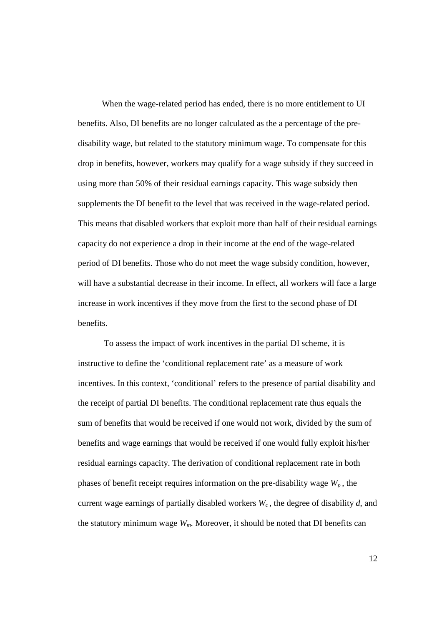When the wage-related period has ended, there is no more entitlement to UI benefits. Also, DI benefits are no longer calculated as the a percentage of the predisability wage, but related to the statutory minimum wage. To compensate for this drop in benefits, however, workers may qualify for a wage subsidy if they succeed in using more than 50% of their residual earnings capacity. This wage subsidy then supplements the DI benefit to the level that was received in the wage-related period. This means that disabled workers that exploit more than half of their residual earnings capacity do not experience a drop in their income at the end of the wage-related period of DI benefits. Those who do not meet the wage subsidy condition, however, will have a substantial decrease in their income. In effect, all workers will face a large increase in work incentives if they move from the first to the second phase of DI benefits.

To assess the impact of work incentives in the partial DI scheme, it is instructive to define the 'conditional replacement rate' as a measure of work incentives. In this context, 'conditional' refers to the presence of partial disability and the receipt of partial DI benefits. The conditional replacement rate thus equals the sum of benefits that would be received if one would not work, divided by the sum of benefits and wage earnings that would be received if one would fully exploit his/her residual earnings capacity. The derivation of conditional replacement rate in both phases of benefit receipt requires information on the pre-disability wage  $W_p$ , the current wage earnings of partially disabled workers *W<sup>c</sup>* , the degree of disability *d*, and the statutory minimum wage *Wm*. Moreover, it should be noted that DI benefits can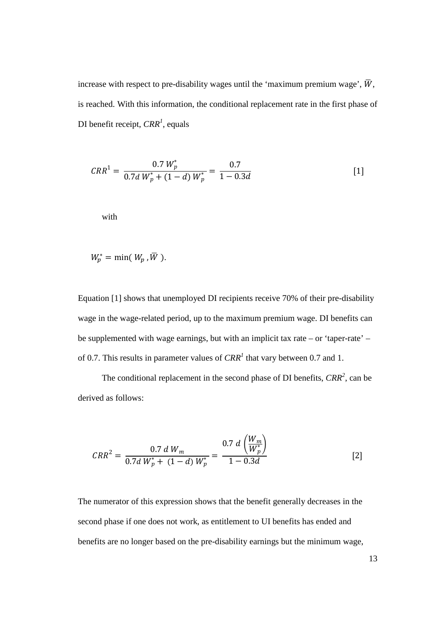increase with respect to pre-disability wages until the 'maximum premium wage',  $\overline{W}$ , is reached. With this information, the conditional replacement rate in the first phase of DI benefit receipt, *CRR<sup>1</sup>* , equals

$$
CRR^{1} = \frac{0.7 W_{p}^{*}}{0.7d W_{p}^{*} + (1 - d) W_{p}^{*}} = \frac{0.7}{1 - 0.3d}
$$
 [1]

with

$$
W_p^* = \min(W_p, \overline{W}).
$$

Equation [1] shows that unemployed DI recipients receive 70% of their pre-disability wage in the wage-related period, up to the maximum premium wage. DI benefits can be supplemented with wage earnings, but with an implicit tax rate – or 'taper-rate' – of 0.7. This results in parameter values of  $CRR<sup>1</sup>$  that vary between 0.7 and 1.

The conditional replacement in the second phase of DI benefits, *CRR<sup>2</sup>* , can be derived as follows:

$$
CRR^{2} = \frac{0.7 \, d \, W_{m}}{0.7d \, W_{p}^{*} + (1-d) \, W_{p}^{*}} = \frac{0.7 \, d \left(\frac{W_{m}}{W_{p}^{*}}\right)}{1 - 0.3d}
$$
 [2]

The numerator of this expression shows that the benefit generally decreases in the second phase if one does not work, as entitlement to UI benefits has ended and benefits are no longer based on the pre-disability earnings but the minimum wage,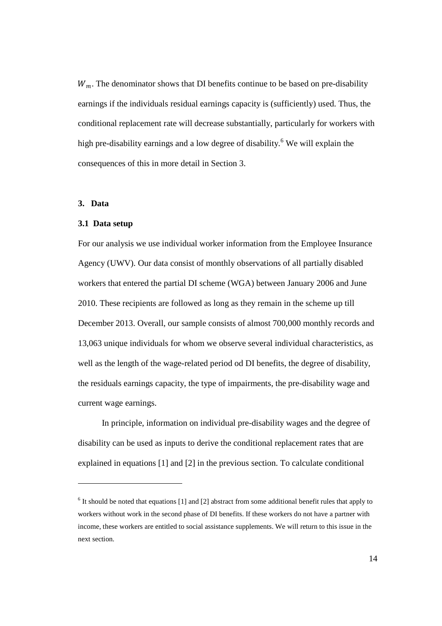$W_m$ . The denominator shows that DI benefits continue to be based on pre-disability earnings if the individuals residual earnings capacity is (sufficiently) used. Thus, the conditional replacement rate will decrease substantially, particularly for workers with high pre-disability earnings and a low degree of disability.<sup>6</sup> We will explain the consequences of this in more detail in Section 3.

#### **3. Data**

-

#### **3.1 Data setup**

For our analysis we use individual worker information from the Employee Insurance Agency (UWV). Our data consist of monthly observations of all partially disabled workers that entered the partial DI scheme (WGA) between January 2006 and June 2010. These recipients are followed as long as they remain in the scheme up till December 2013. Overall, our sample consists of almost 700,000 monthly records and 13,063 unique individuals for whom we observe several individual characteristics, as well as the length of the wage-related period od DI benefits, the degree of disability, the residuals earnings capacity, the type of impairments, the pre-disability wage and current wage earnings.

 In principle, information on individual pre-disability wages and the degree of disability can be used as inputs to derive the conditional replacement rates that are explained in equations [1] and [2] in the previous section. To calculate conditional

 $6$  It should be noted that equations [1] and [2] abstract from some additional benefit rules that apply to workers without work in the second phase of DI benefits. If these workers do not have a partner with income, these workers are entitled to social assistance supplements. We will return to this issue in the next section.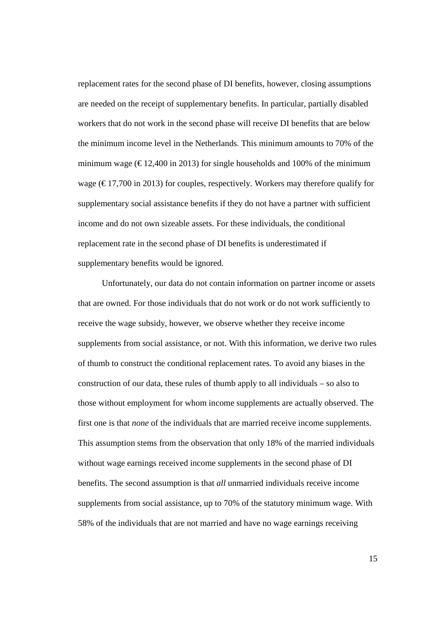replacement rates for the second phase of DI benefits, however, closing assumptions are needed on the receipt of supplementary benefits. In particular, partially disabled workers that do not work in the second phase will receive DI benefits that are below the minimum income level in the Netherlands. This minimum amounts to 70% of the minimum wage ( $\in$  12,400 in 2013) for single households and 100% of the minimum wage ( $\in$  17,700 in 2013) for couples, respectively. Workers may therefore qualify for supplementary social assistance benefits if they do not have a partner with sufficient income and do not own sizeable assets. For these individuals, the conditional replacement rate in the second phase of DI benefits is underestimated if supplementary benefits would be ignored.

Unfortunately, our data do not contain information on partner income or assets that are owned. For those individuals that do not work or do not work sufficiently to receive the wage subsidy, however, we observe whether they receive income supplements from social assistance, or not. With this information, we derive two rules of thumb to construct the conditional replacement rates. To avoid any biases in the construction of our data, these rules of thumb apply to all individuals – so also to those without employment for whom income supplements are actually observed. The first one is that *none* of the individuals that are married receive income supplements. This assumption stems from the observation that only 18% of the married individuals without wage earnings received income supplements in the second phase of DI benefits. The second assumption is that *all* unmarried individuals receive income supplements from social assistance, up to 70% of the statutory minimum wage. With 58% of the individuals that are not married and have no wage earnings receiving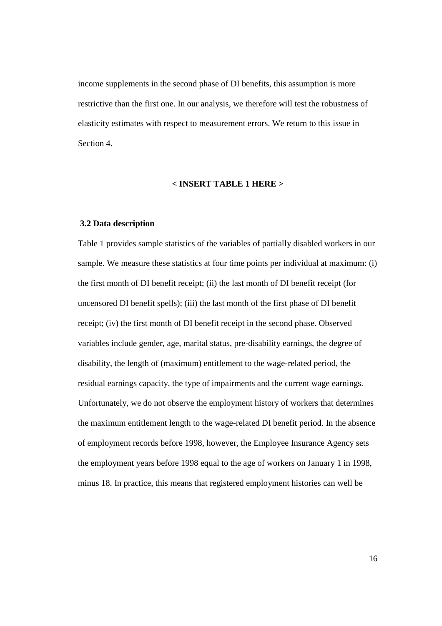income supplements in the second phase of DI benefits, this assumption is more restrictive than the first one. In our analysis, we therefore will test the robustness of elasticity estimates with respect to measurement errors. We return to this issue in Section 4.

#### **< INSERT TABLE 1 HERE >**

#### **3.2 Data description**

Table 1 provides sample statistics of the variables of partially disabled workers in our sample. We measure these statistics at four time points per individual at maximum: (i) the first month of DI benefit receipt; (ii) the last month of DI benefit receipt (for uncensored DI benefit spells); (iii) the last month of the first phase of DI benefit receipt; (iv) the first month of DI benefit receipt in the second phase. Observed variables include gender, age, marital status, pre-disability earnings, the degree of disability, the length of (maximum) entitlement to the wage-related period, the residual earnings capacity, the type of impairments and the current wage earnings. Unfortunately, we do not observe the employment history of workers that determines the maximum entitlement length to the wage-related DI benefit period. In the absence of employment records before 1998, however, the Employee Insurance Agency sets the employment years before 1998 equal to the age of workers on January 1 in 1998, minus 18. In practice, this means that registered employment histories can well be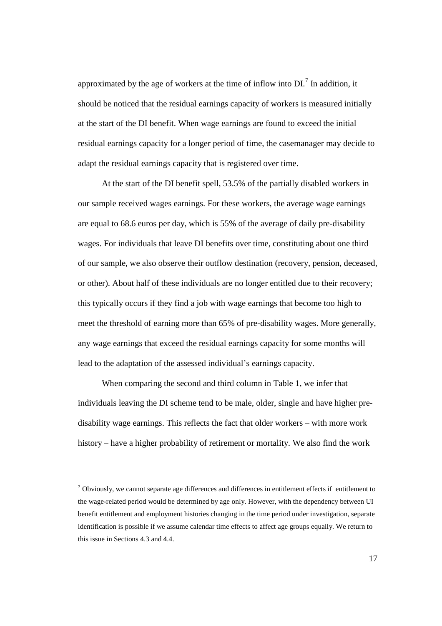approximated by the age of workers at the time of inflow into  $DI$ <sup>7</sup>. In addition, it should be noticed that the residual earnings capacity of workers is measured initially at the start of the DI benefit. When wage earnings are found to exceed the initial residual earnings capacity for a longer period of time, the casemanager may decide to adapt the residual earnings capacity that is registered over time.

At the start of the DI benefit spell, 53.5% of the partially disabled workers in our sample received wages earnings. For these workers, the average wage earnings are equal to 68.6 euros per day, which is 55% of the average of daily pre-disability wages. For individuals that leave DI benefits over time, constituting about one third of our sample, we also observe their outflow destination (recovery, pension, deceased, or other). About half of these individuals are no longer entitled due to their recovery; this typically occurs if they find a job with wage earnings that become too high to meet the threshold of earning more than 65% of pre-disability wages. More generally, any wage earnings that exceed the residual earnings capacity for some months will lead to the adaptation of the assessed individual's earnings capacity.

When comparing the second and third column in Table 1, we infer that individuals leaving the DI scheme tend to be male, older, single and have higher predisability wage earnings. This reflects the fact that older workers – with more work history – have a higher probability of retirement or mortality. We also find the work

<u>.</u>

 $7$  Obviously, we cannot separate age differences and differences in entitlement effects if entitlement to the wage-related period would be determined by age only. However, with the dependency between UI benefit entitlement and employment histories changing in the time period under investigation, separate identification is possible if we assume calendar time effects to affect age groups equally. We return to this issue in Sections 4.3 and 4.4.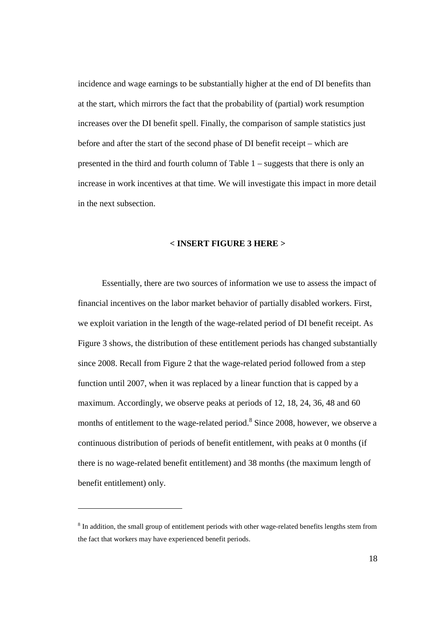incidence and wage earnings to be substantially higher at the end of DI benefits than at the start, which mirrors the fact that the probability of (partial) work resumption increases over the DI benefit spell. Finally, the comparison of sample statistics just before and after the start of the second phase of DI benefit receipt – which are presented in the third and fourth column of Table 1 – suggests that there is only an increase in work incentives at that time. We will investigate this impact in more detail in the next subsection.

#### **< INSERT FIGURE 3 HERE >**

 Essentially, there are two sources of information we use to assess the impact of financial incentives on the labor market behavior of partially disabled workers. First, we exploit variation in the length of the wage-related period of DI benefit receipt. As Figure 3 shows, the distribution of these entitlement periods has changed substantially since 2008. Recall from Figure 2 that the wage-related period followed from a step function until 2007, when it was replaced by a linear function that is capped by a maximum. Accordingly, we observe peaks at periods of 12, 18, 24, 36, 48 and 60 months of entitlement to the wage-related period.<sup>8</sup> Since 2008, however, we observe a continuous distribution of periods of benefit entitlement, with peaks at 0 months (if there is no wage-related benefit entitlement) and 38 months (the maximum length of benefit entitlement) only.

-

<sup>&</sup>lt;sup>8</sup> In addition, the small group of entitlement periods with other wage-related benefits lengths stem from the fact that workers may have experienced benefit periods.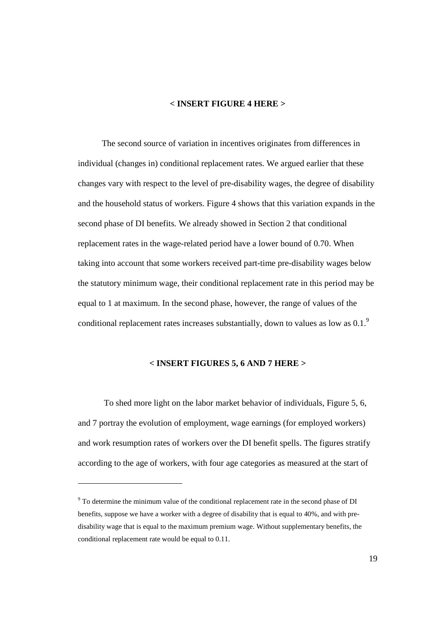# **< INSERT FIGURE 4 HERE >**

 The second source of variation in incentives originates from differences in individual (changes in) conditional replacement rates. We argued earlier that these changes vary with respect to the level of pre-disability wages, the degree of disability and the household status of workers. Figure 4 shows that this variation expands in the second phase of DI benefits. We already showed in Section 2 that conditional replacement rates in the wage-related period have a lower bound of 0.70. When taking into account that some workers received part-time pre-disability wages below the statutory minimum wage, their conditional replacement rate in this period may be equal to 1 at maximum. In the second phase, however, the range of values of the conditional replacement rates increases substantially, down to values as low as  $0.1$ .<sup>9</sup>

# **< INSERT FIGURES 5, 6 AND 7 HERE >**

 To shed more light on the labor market behavior of individuals, Figure 5, 6, and 7 portray the evolution of employment, wage earnings (for employed workers) and work resumption rates of workers over the DI benefit spells. The figures stratify according to the age of workers, with four age categories as measured at the start of

-

<sup>&</sup>lt;sup>9</sup> To determine the minimum value of the conditional replacement rate in the second phase of DI benefits, suppose we have a worker with a degree of disability that is equal to 40%, and with predisability wage that is equal to the maximum premium wage. Without supplementary benefits, the conditional replacement rate would be equal to 0.11.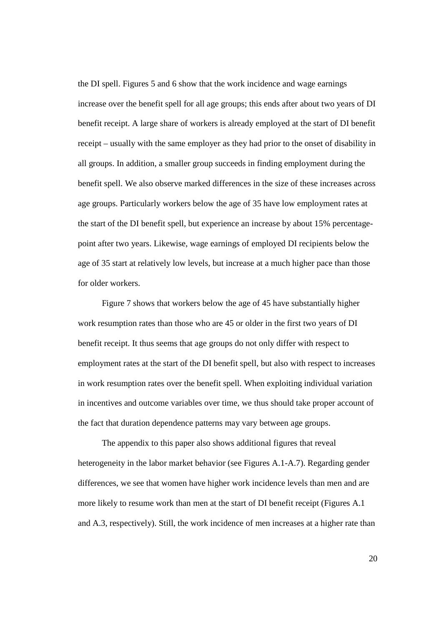the DI spell. Figures 5 and 6 show that the work incidence and wage earnings increase over the benefit spell for all age groups; this ends after about two years of DI benefit receipt. A large share of workers is already employed at the start of DI benefit receipt – usually with the same employer as they had prior to the onset of disability in all groups. In addition, a smaller group succeeds in finding employment during the benefit spell. We also observe marked differences in the size of these increases across age groups. Particularly workers below the age of 35 have low employment rates at the start of the DI benefit spell, but experience an increase by about 15% percentagepoint after two years. Likewise, wage earnings of employed DI recipients below the age of 35 start at relatively low levels, but increase at a much higher pace than those for older workers.

Figure 7 shows that workers below the age of 45 have substantially higher work resumption rates than those who are 45 or older in the first two years of DI benefit receipt. It thus seems that age groups do not only differ with respect to employment rates at the start of the DI benefit spell, but also with respect to increases in work resumption rates over the benefit spell. When exploiting individual variation in incentives and outcome variables over time, we thus should take proper account of the fact that duration dependence patterns may vary between age groups.

 The appendix to this paper also shows additional figures that reveal heterogeneity in the labor market behavior (see Figures A.1-A.7). Regarding gender differences, we see that women have higher work incidence levels than men and are more likely to resume work than men at the start of DI benefit receipt (Figures A.1 and A.3, respectively). Still, the work incidence of men increases at a higher rate than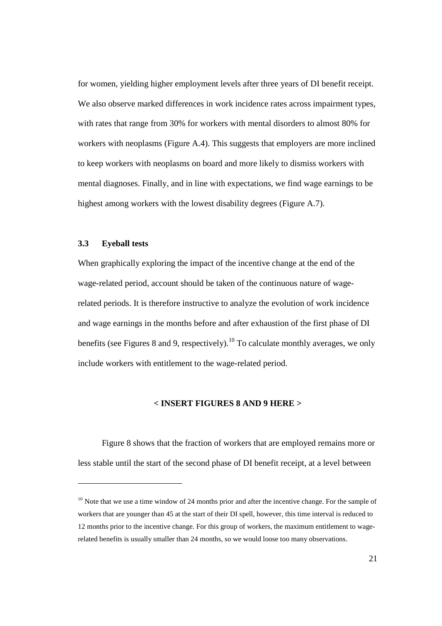for women, yielding higher employment levels after three years of DI benefit receipt. We also observe marked differences in work incidence rates across impairment types, with rates that range from 30% for workers with mental disorders to almost 80% for workers with neoplasms (Figure A.4). This suggests that employers are more inclined to keep workers with neoplasms on board and more likely to dismiss workers with mental diagnoses. Finally, and in line with expectations, we find wage earnings to be highest among workers with the lowest disability degrees (Figure A.7).

#### **3.3 Eyeball tests**

-

When graphically exploring the impact of the incentive change at the end of the wage-related period, account should be taken of the continuous nature of wagerelated periods. It is therefore instructive to analyze the evolution of work incidence and wage earnings in the months before and after exhaustion of the first phase of DI benefits (see Figures 8 and 9, respectively).<sup>10</sup> To calculate monthly averages, we only include workers with entitlement to the wage-related period.

### **< INSERT FIGURES 8 AND 9 HERE >**

 Figure 8 shows that the fraction of workers that are employed remains more or less stable until the start of the second phase of DI benefit receipt, at a level between

 $10$  Note that we use a time window of 24 months prior and after the incentive change. For the sample of workers that are younger than 45 at the start of their DI spell, however, this time interval is reduced to 12 months prior to the incentive change. For this group of workers, the maximum entitlement to wagerelated benefits is usually smaller than 24 months, so we would loose too many observations.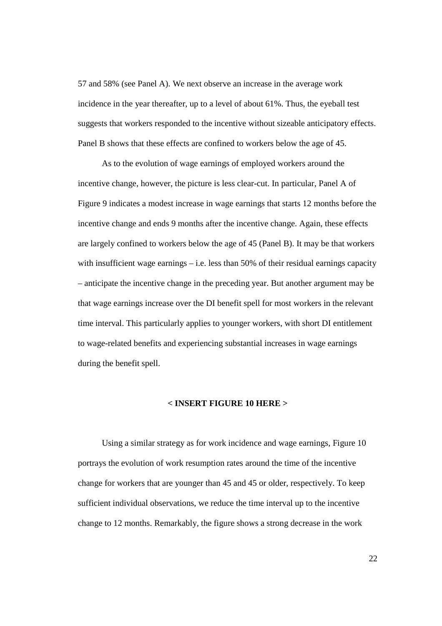57 and 58% (see Panel A). We next observe an increase in the average work incidence in the year thereafter, up to a level of about 61%. Thus, the eyeball test suggests that workers responded to the incentive without sizeable anticipatory effects. Panel B shows that these effects are confined to workers below the age of 45.

As to the evolution of wage earnings of employed workers around the incentive change, however, the picture is less clear-cut. In particular, Panel A of Figure 9 indicates a modest increase in wage earnings that starts 12 months before the incentive change and ends 9 months after the incentive change. Again, these effects are largely confined to workers below the age of 45 (Panel B). It may be that workers with insufficient wage earnings  $-$  i.e. less than 50% of their residual earnings capacity – anticipate the incentive change in the preceding year. But another argument may be that wage earnings increase over the DI benefit spell for most workers in the relevant time interval. This particularly applies to younger workers, with short DI entitlement to wage-related benefits and experiencing substantial increases in wage earnings during the benefit spell.

### **< INSERT FIGURE 10 HERE >**

 Using a similar strategy as for work incidence and wage earnings, Figure 10 portrays the evolution of work resumption rates around the time of the incentive change for workers that are younger than 45 and 45 or older, respectively. To keep sufficient individual observations, we reduce the time interval up to the incentive change to 12 months. Remarkably, the figure shows a strong decrease in the work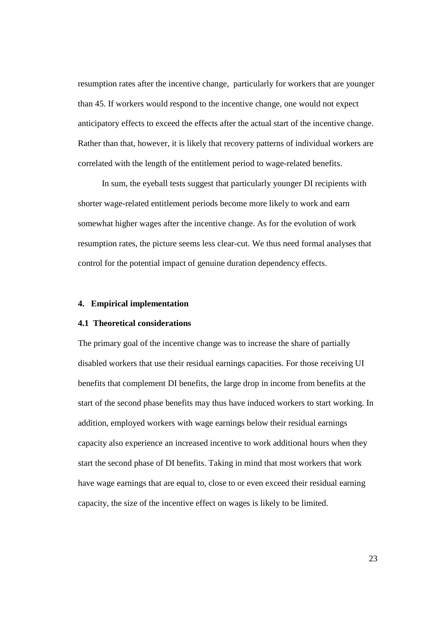resumption rates after the incentive change, particularly for workers that are younger than 45. If workers would respond to the incentive change, one would not expect anticipatory effects to exceed the effects after the actual start of the incentive change. Rather than that, however, it is likely that recovery patterns of individual workers are correlated with the length of the entitlement period to wage-related benefits.

 In sum, the eyeball tests suggest that particularly younger DI recipients with shorter wage-related entitlement periods become more likely to work and earn somewhat higher wages after the incentive change. As for the evolution of work resumption rates, the picture seems less clear-cut. We thus need formal analyses that control for the potential impact of genuine duration dependency effects.

#### **4. Empirical implementation**

# **4.1 Theoretical considerations**

The primary goal of the incentive change was to increase the share of partially disabled workers that use their residual earnings capacities. For those receiving UI benefits that complement DI benefits, the large drop in income from benefits at the start of the second phase benefits may thus have induced workers to start working. In addition, employed workers with wage earnings below their residual earnings capacity also experience an increased incentive to work additional hours when they start the second phase of DI benefits. Taking in mind that most workers that work have wage earnings that are equal to, close to or even exceed their residual earning capacity, the size of the incentive effect on wages is likely to be limited.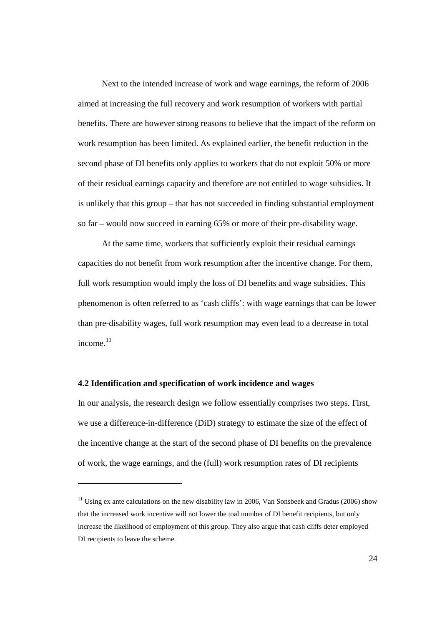Next to the intended increase of work and wage earnings, the reform of 2006 aimed at increasing the full recovery and work resumption of workers with partial benefits. There are however strong reasons to believe that the impact of the reform on work resumption has been limited. As explained earlier, the benefit reduction in the second phase of DI benefits only applies to workers that do not exploit 50% or more of their residual earnings capacity and therefore are not entitled to wage subsidies. It is unlikely that this group – that has not succeeded in finding substantial employment so far – would now succeed in earning 65% or more of their pre-disability wage.

At the same time, workers that sufficiently exploit their residual earnings capacities do not benefit from work resumption after the incentive change. For them, full work resumption would imply the loss of DI benefits and wage subsidies. This phenomenon is often referred to as 'cash cliffs': with wage earnings that can be lower than pre-disability wages, full work resumption may even lead to a decrease in total income. $11$ 

#### **4.2 Identification and specification of work incidence and wages**

-

In our analysis, the research design we follow essentially comprises two steps. First, we use a difference-in-difference (DiD) strategy to estimate the size of the effect of the incentive change at the start of the second phase of DI benefits on the prevalence of work, the wage earnings, and the (full) work resumption rates of DI recipients

<sup>&</sup>lt;sup>11</sup> Using ex ante calculations on the new disability law in 2006, Van Sonsbeek and Gradus (2006) show that the increased work incentive will not lower the toal number of DI benefit recipients, but only increase the likelihood of employment of this group. They also argue that cash cliffs deter employed DI recipients to leave the scheme.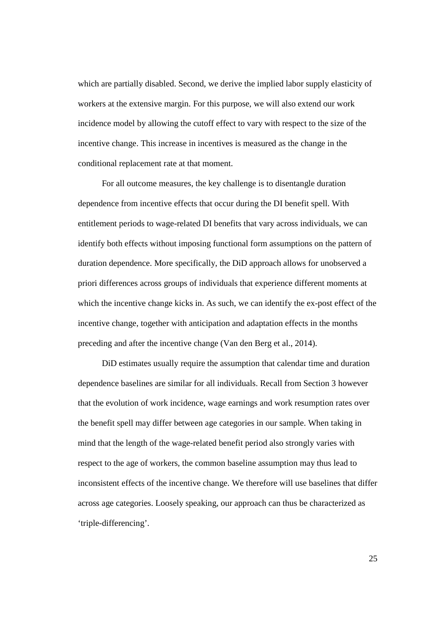which are partially disabled. Second, we derive the implied labor supply elasticity of workers at the extensive margin. For this purpose, we will also extend our work incidence model by allowing the cutoff effect to vary with respect to the size of the incentive change. This increase in incentives is measured as the change in the conditional replacement rate at that moment.

For all outcome measures, the key challenge is to disentangle duration dependence from incentive effects that occur during the DI benefit spell. With entitlement periods to wage-related DI benefits that vary across individuals, we can identify both effects without imposing functional form assumptions on the pattern of duration dependence. More specifically, the DiD approach allows for unobserved a priori differences across groups of individuals that experience different moments at which the incentive change kicks in. As such, we can identify the ex-post effect of the incentive change, together with anticipation and adaptation effects in the months preceding and after the incentive change (Van den Berg et al., 2014).

DiD estimates usually require the assumption that calendar time and duration dependence baselines are similar for all individuals. Recall from Section 3 however that the evolution of work incidence, wage earnings and work resumption rates over the benefit spell may differ between age categories in our sample. When taking in mind that the length of the wage-related benefit period also strongly varies with respect to the age of workers, the common baseline assumption may thus lead to inconsistent effects of the incentive change. We therefore will use baselines that differ across age categories. Loosely speaking, our approach can thus be characterized as 'triple-differencing'.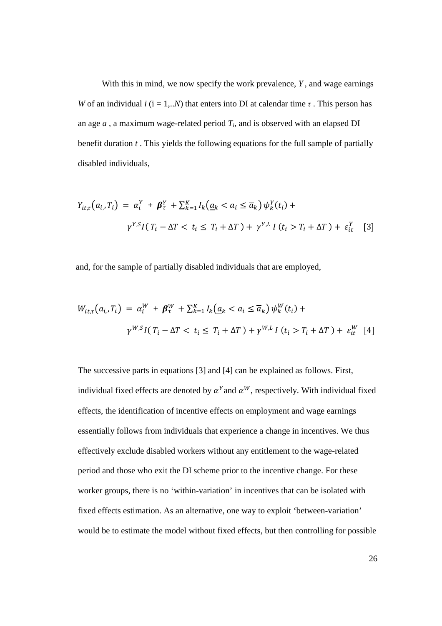With this in mind, we now specify the work prevalence, *Y* , and wage earnings *W* of an individual *i* ( $i = 1,..N$ ) that enters into DI at calendar time  $\tau$ . This person has an age  $a$ , a maximum wage-related period  $T_i$ , and is observed with an elapsed DI benefit duration *t* . This yields the following equations for the full sample of partially disabled individuals,

$$
Y_{it,\tau}(a_i, T_i) = \alpha_i^Y + \beta_{\tau}^Y + \sum_{k=1}^K I_k(\underline{a}_k < a_i \leq \overline{a}_k) \psi_k^Y(t_i) +
$$
\n
$$
\gamma^{Y,S} I(T_i - \Delta T < t_i \leq T_i + \Delta T) + \gamma^{Y,L} I(t_i > T_i + \Delta T) + \varepsilon_{it}^Y \quad [3]
$$

and, for the sample of partially disabled individuals that are employed,

$$
W_{it,\tau}(a_{i},T_{i}) = \alpha_{i}^{W} + \beta_{\tau}^{W} + \sum_{k=1}^{K} I_{k}(\underline{a}_{k} < a_{i} \leq \overline{a}_{k}) \psi_{k}^{W}(t_{i}) +
$$
\n
$$
\gamma^{W,S} I(T_{i} - \Delta T < t_{i} \leq T_{i} + \Delta T) + \gamma^{W,L} I(t_{i} > T_{i} + \Delta T) + \varepsilon_{it}^{W} \quad [4]
$$

The successive parts in equations [3] and [4] can be explained as follows. First, individual fixed effects are denoted by  $\alpha^Y$  and  $\alpha^W$ , respectively. With individual fixed effects, the identification of incentive effects on employment and wage earnings essentially follows from individuals that experience a change in incentives. We thus effectively exclude disabled workers without any entitlement to the wage-related period and those who exit the DI scheme prior to the incentive change. For these worker groups, there is no 'within-variation' in incentives that can be isolated with fixed effects estimation. As an alternative, one way to exploit 'between-variation' would be to estimate the model without fixed effects, but then controlling for possible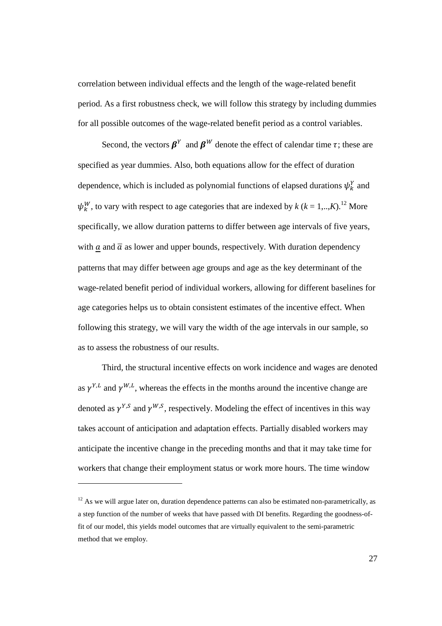correlation between individual effects and the length of the wage-related benefit period. As a first robustness check, we will follow this strategy by including dummies for all possible outcomes of the wage-related benefit period as a control variables.

Second, the vectors  $\beta^Y$  and  $\beta^W$  denote the effect of calendar time  $\tau$ ; these are specified as year dummies. Also, both equations allow for the effect of duration dependence, which is included as polynomial functions of elapsed durations  $\psi_k^Y$  and  $\psi_k^W$ , to vary with respect to age categories that are indexed by  $k$  ( $k = 1, ..., K$ ).<sup>12</sup> More specifically, we allow duration patterns to differ between age intervals of five years, with  $\alpha$  and  $\overline{\alpha}$  as lower and upper bounds, respectively. With duration dependency patterns that may differ between age groups and age as the key determinant of the wage-related benefit period of individual workers, allowing for different baselines for age categories helps us to obtain consistent estimates of the incentive effect. When following this strategy, we will vary the width of the age intervals in our sample, so as to assess the robustness of our results.

Third, the structural incentive effects on work incidence and wages are denoted as  $\gamma^{Y,L}$  and  $\gamma^{W,L}$ , whereas the effects in the months around the incentive change are denoted as  $\gamma^{Y,S}$  and  $\gamma^{W,S}$ , respectively. Modeling the effect of incentives in this way takes account of anticipation and adaptation effects. Partially disabled workers may anticipate the incentive change in the preceding months and that it may take time for workers that change their employment status or work more hours. The time window

-

 $12$  As we will argue later on, duration dependence patterns can also be estimated non-parametrically, as a step function of the number of weeks that have passed with DI benefits. Regarding the goodness-offit of our model, this yields model outcomes that are virtually equivalent to the semi-parametric method that we employ.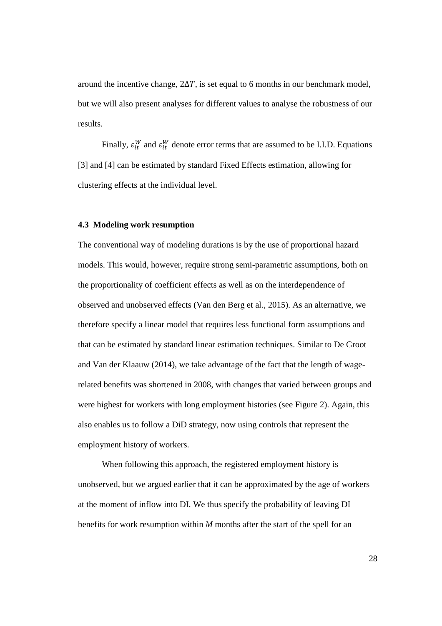around the incentive change,  $2\Delta T$ , is set equal to 6 months in our benchmark model, but we will also present analyses for different values to analyse the robustness of our results.

Finally,  $\varepsilon_{it}^{W}$  and  $\varepsilon_{it}^{W}$  denote error terms that are assumed to be I.I.D. Equations [3] and [4] can be estimated by standard Fixed Effects estimation, allowing for clustering effects at the individual level.

#### **4.3 Modeling work resumption**

The conventional way of modeling durations is by the use of proportional hazard models. This would, however, require strong semi-parametric assumptions, both on the proportionality of coefficient effects as well as on the interdependence of observed and unobserved effects (Van den Berg et al., 2015). As an alternative, we therefore specify a linear model that requires less functional form assumptions and that can be estimated by standard linear estimation techniques. Similar to De Groot and Van der Klaauw (2014), we take advantage of the fact that the length of wagerelated benefits was shortened in 2008, with changes that varied between groups and were highest for workers with long employment histories (see Figure 2). Again, this also enables us to follow a DiD strategy, now using controls that represent the employment history of workers.

When following this approach, the registered employment history is unobserved, but we argued earlier that it can be approximated by the age of workers at the moment of inflow into DI. We thus specify the probability of leaving DI benefits for work resumption within *M* months after the start of the spell for an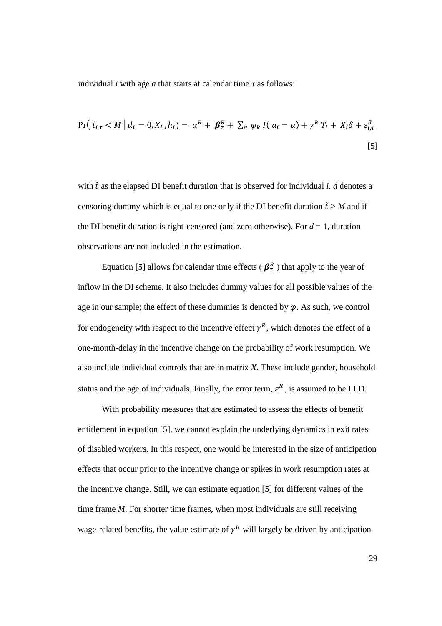individual *i* with age *a* that starts at calendar time τ as follows:

$$
\Pr\left(\left.\tilde{t}_{i,\tau} < M\right| d_i = 0, X_i, h_i\right) = \alpha^R + \beta^R_{\tau} + \sum_a \varphi_k \, I(\,a_i = a) + \gamma^R \, T_i + X_i \delta + \varepsilon^R_{i,\tau}
$$
\n[5]

with  $\tilde{t}$  as the elapsed DI benefit duration that is observed for individual *i*. *d* denotes a censoring dummy which is equal to one only if the DI benefit duration  $\tilde{t} > M$  and if the DI benefit duration is right-censored (and zero otherwise). For  $d = 1$ , duration observations are not included in the estimation.

Equation [5] allows for calendar time effects ( $\beta_{\tau}^{R}$ ) that apply to the year of inflow in the DI scheme. It also includes dummy values for all possible values of the age in our sample; the effect of these dummies is denoted by  $\varphi$ . As such, we control for endogeneity with respect to the incentive effect  $\gamma^R$ , which denotes the effect of a one-month-delay in the incentive change on the probability of work resumption. We also include individual controls that are in matrix *X*. These include gender, household status and the age of individuals. Finally, the error term,  $\varepsilon^R$ , is assumed to be I.I.D.

 With probability measures that are estimated to assess the effects of benefit entitlement in equation [5], we cannot explain the underlying dynamics in exit rates of disabled workers. In this respect, one would be interested in the size of anticipation effects that occur prior to the incentive change or spikes in work resumption rates at the incentive change. Still, we can estimate equation [5] for different values of the time frame *M*. For shorter time frames, when most individuals are still receiving wage-related benefits, the value estimate of  $\gamma^R$  will largely be driven by anticipation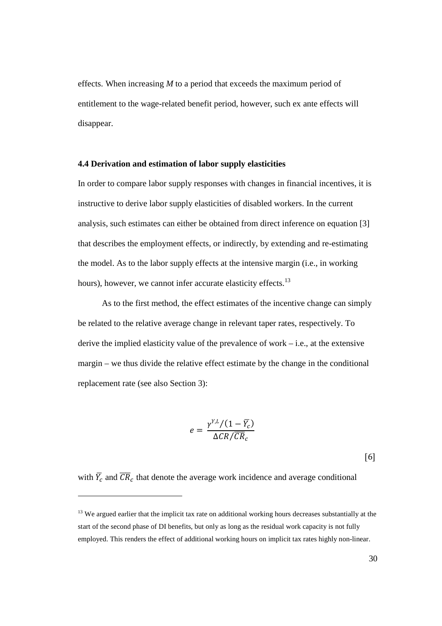effects. When increasing *M* to a period that exceeds the maximum period of entitlement to the wage-related benefit period, however, such ex ante effects will disappear.

#### **4.4 Derivation and estimation of labor supply elasticities**

In order to compare labor supply responses with changes in financial incentives, it is instructive to derive labor supply elasticities of disabled workers. In the current analysis, such estimates can either be obtained from direct inference on equation [3] that describes the employment effects, or indirectly, by extending and re-estimating the model. As to the labor supply effects at the intensive margin (i.e., in working hours), however, we cannot infer accurate elasticity effects.<sup>13</sup>

As to the first method, the effect estimates of the incentive change can simply be related to the relative average change in relevant taper rates, respectively. To derive the implied elasticity value of the prevalence of work  $-$  i.e., at the extensive margin – we thus divide the relative effect estimate by the change in the conditional replacement rate (see also Section 3):

$$
e = \frac{\gamma^{Y,L}/(1-\overline{Y_c})}{\Delta CR/\overline{CR}_c}
$$

[6] 

with  $\overline{Y}_c$  and  $\overline{CR}_c$  that denote the average work incidence and average conditional

-

 $13$  We argued earlier that the implicit tax rate on additional working hours decreases substantially at the start of the second phase of DI benefits, but only as long as the residual work capacity is not fully employed. This renders the effect of additional working hours on implicit tax rates highly non-linear.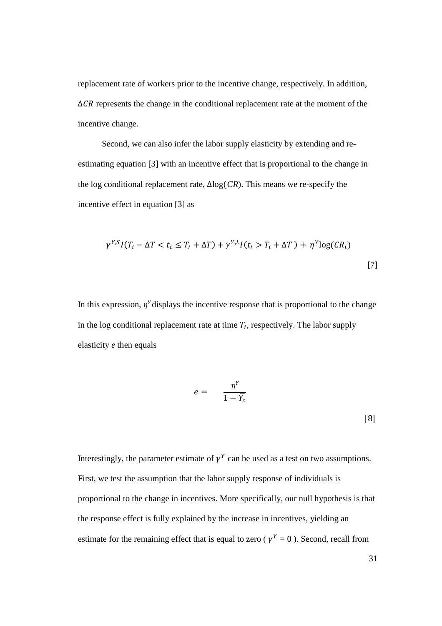replacement rate of workers prior to the incentive change, respectively. In addition,  $\Delta$ CR represents the change in the conditional replacement rate at the moment of the incentive change.

 Second, we can also infer the labor supply elasticity by extending and reestimating equation [3] with an incentive effect that is proportional to the change in the log conditional replacement rate,  $\Delta$ log(*CR*). This means we re-specify the incentive effect in equation [3] as

$$
\gamma^{YS}I(T_i - \Delta T < t_i \le T_i + \Delta T) + \gamma^{Y,L}I(t_i > T_i + \Delta T) + \eta^Y \log(CR_i) \tag{7}
$$

In this expression,  $\eta^Y$  displays the incentive response that is proportional to the change in the log conditional replacement rate at time  $T_i$ , respectively. The labor supply elasticity *e* then equals

$$
e = \frac{\eta^Y}{1 - \overline{Y_c}}
$$
 [8]

Interestingly, the parameter estimate of  $\gamma^Y$  can be used as a test on two assumptions. First, we test the assumption that the labor supply response of individuals is proportional to the change in incentives. More specifically, our null hypothesis is that the response effect is fully explained by the increase in incentives, yielding an estimate for the remaining effect that is equal to zero ( $\gamma^Y = 0$ ). Second, recall from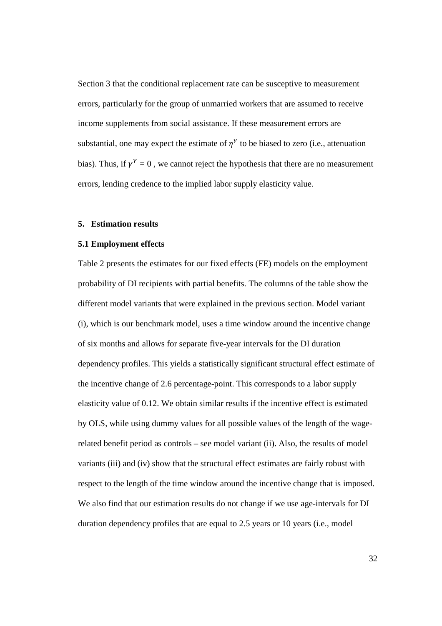Section 3 that the conditional replacement rate can be susceptive to measurement errors, particularly for the group of unmarried workers that are assumed to receive income supplements from social assistance. If these measurement errors are substantial, one may expect the estimate of  $\eta^Y$  to be biased to zero (i.e., attenuation bias). Thus, if  $\gamma^Y = 0$ , we cannot reject the hypothesis that there are no measurement errors, lending credence to the implied labor supply elasticity value.

#### **5. Estimation results**

#### **5.1 Employment effects**

Table 2 presents the estimates for our fixed effects (FE) models on the employment probability of DI recipients with partial benefits. The columns of the table show the different model variants that were explained in the previous section. Model variant (i), which is our benchmark model, uses a time window around the incentive change of six months and allows for separate five-year intervals for the DI duration dependency profiles. This yields a statistically significant structural effect estimate of the incentive change of 2.6 percentage-point. This corresponds to a labor supply elasticity value of 0.12. We obtain similar results if the incentive effect is estimated by OLS, while using dummy values for all possible values of the length of the wagerelated benefit period as controls – see model variant (ii). Also, the results of model variants (iii) and (iv) show that the structural effect estimates are fairly robust with respect to the length of the time window around the incentive change that is imposed. We also find that our estimation results do not change if we use age-intervals for DI duration dependency profiles that are equal to 2.5 years or 10 years (i.e., model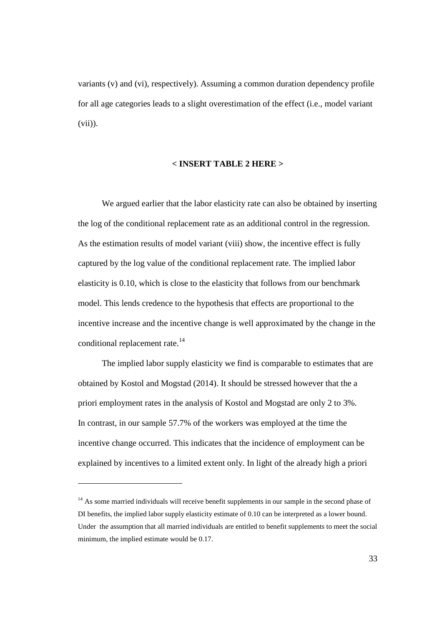variants (v) and (vi), respectively). Assuming a common duration dependency profile for all age categories leads to a slight overestimation of the effect (i.e., model variant (vii)).

#### **< INSERT TABLE 2 HERE >**

 We argued earlier that the labor elasticity rate can also be obtained by inserting the log of the conditional replacement rate as an additional control in the regression. As the estimation results of model variant (viii) show, the incentive effect is fully captured by the log value of the conditional replacement rate. The implied labor elasticity is 0.10, which is close to the elasticity that follows from our benchmark model. This lends credence to the hypothesis that effects are proportional to the incentive increase and the incentive change is well approximated by the change in the conditional replacement rate.<sup>14</sup>

 The implied labor supply elasticity we find is comparable to estimates that are obtained by Kostol and Mogstad (2014). It should be stressed however that the a priori employment rates in the analysis of Kostol and Mogstad are only 2 to 3%. In contrast, in our sample 57.7% of the workers was employed at the time the incentive change occurred. This indicates that the incidence of employment can be explained by incentives to a limited extent only. In light of the already high a priori

-

<sup>&</sup>lt;sup>14</sup> As some married individuals will receive benefit supplements in our sample in the second phase of DI benefits, the implied labor supply elasticity estimate of 0.10 can be interpreted as a lower bound. Under the assumption that all married individuals are entitled to benefit supplements to meet the social minimum, the implied estimate would be 0.17.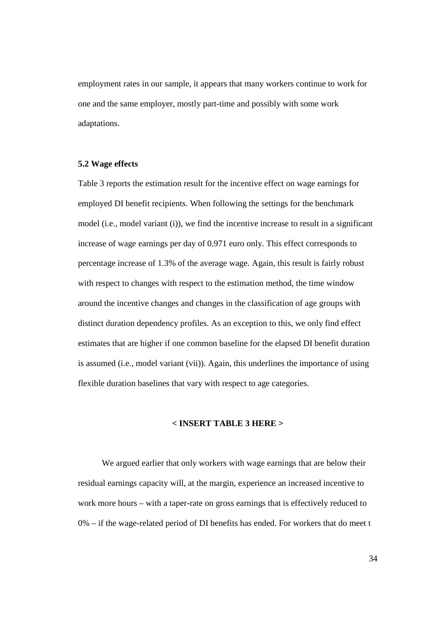employment rates in our sample, it appears that many workers continue to work for one and the same employer, mostly part-time and possibly with some work adaptations.

#### **5.2 Wage effects**

Table 3 reports the estimation result for the incentive effect on wage earnings for employed DI benefit recipients. When following the settings for the benchmark model (i.e., model variant (i)), we find the incentive increase to result in a significant increase of wage earnings per day of 0.971 euro only. This effect corresponds to percentage increase of 1.3% of the average wage. Again, this result is fairly robust with respect to changes with respect to the estimation method, the time window around the incentive changes and changes in the classification of age groups with distinct duration dependency profiles. As an exception to this, we only find effect estimates that are higher if one common baseline for the elapsed DI benefit duration is assumed (i.e., model variant (vii)). Again, this underlines the importance of using flexible duration baselines that vary with respect to age categories.

#### **< INSERT TABLE 3 HERE >**

We argued earlier that only workers with wage earnings that are below their residual earnings capacity will, at the margin, experience an increased incentive to work more hours – with a taper-rate on gross earnings that is effectively reduced to 0% – if the wage-related period of DI benefits has ended. For workers that do meet t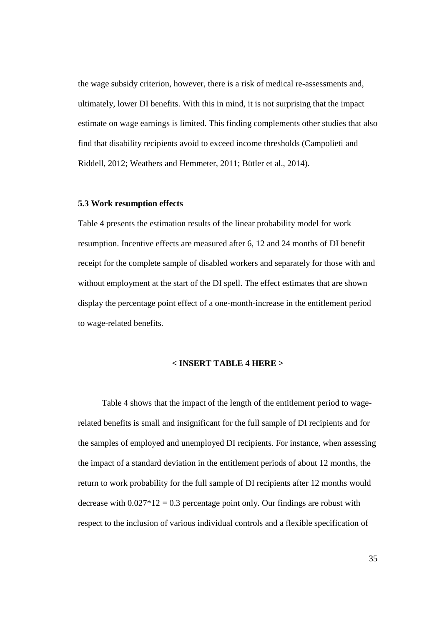the wage subsidy criterion, however, there is a risk of medical re-assessments and, ultimately, lower DI benefits. With this in mind, it is not surprising that the impact estimate on wage earnings is limited. This finding complements other studies that also find that disability recipients avoid to exceed income thresholds (Campolieti and Riddell, 2012; Weathers and Hemmeter, 2011; Bütler et al., 2014).

# **5.3 Work resumption effects**

Table 4 presents the estimation results of the linear probability model for work resumption. Incentive effects are measured after 6, 12 and 24 months of DI benefit receipt for the complete sample of disabled workers and separately for those with and without employment at the start of the DI spell. The effect estimates that are shown display the percentage point effect of a one-month-increase in the entitlement period to wage-related benefits.

#### **< INSERT TABLE 4 HERE >**

Table 4 shows that the impact of the length of the entitlement period to wagerelated benefits is small and insignificant for the full sample of DI recipients and for the samples of employed and unemployed DI recipients. For instance, when assessing the impact of a standard deviation in the entitlement periods of about 12 months, the return to work probability for the full sample of DI recipients after 12 months would decrease with  $0.027*12 = 0.3$  percentage point only. Our findings are robust with respect to the inclusion of various individual controls and a flexible specification of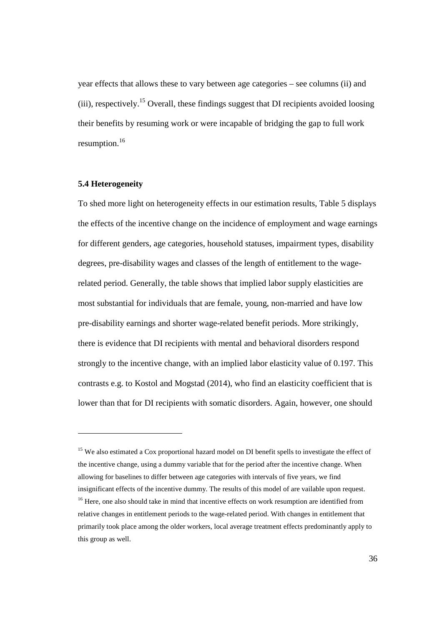year effects that allows these to vary between age categories – see columns (ii) and (iii), respectively.<sup>15</sup> Overall, these findings suggest that DI recipients avoided loosing their benefits by resuming work or were incapable of bridging the gap to full work resumption.<sup>16</sup>

#### **5.4 Heterogeneity**

-

To shed more light on heterogeneity effects in our estimation results, Table 5 displays the effects of the incentive change on the incidence of employment and wage earnings for different genders, age categories, household statuses, impairment types, disability degrees, pre-disability wages and classes of the length of entitlement to the wagerelated period. Generally, the table shows that implied labor supply elasticities are most substantial for individuals that are female, young, non-married and have low pre-disability earnings and shorter wage-related benefit periods. More strikingly, there is evidence that DI recipients with mental and behavioral disorders respond strongly to the incentive change, with an implied labor elasticity value of 0.197. This contrasts e.g. to Kostol and Mogstad (2014), who find an elasticity coefficient that is lower than that for DI recipients with somatic disorders. Again, however, one should

<sup>&</sup>lt;sup>15</sup> We also estimated a Cox proportional hazard model on DI benefit spells to investigate the effect of the incentive change, using a dummy variable that for the period after the incentive change. When allowing for baselines to differ between age categories with intervals of five years, we find insignificant effects of the incentive dummy. The results of this model of are vailable upon request. <sup>16</sup> Here, one also should take in mind that incentive effects on work resumption are identified from relative changes in entitlement periods to the wage-related period. With changes in entitlement that primarily took place among the older workers, local average treatment effects predominantly apply to this group as well.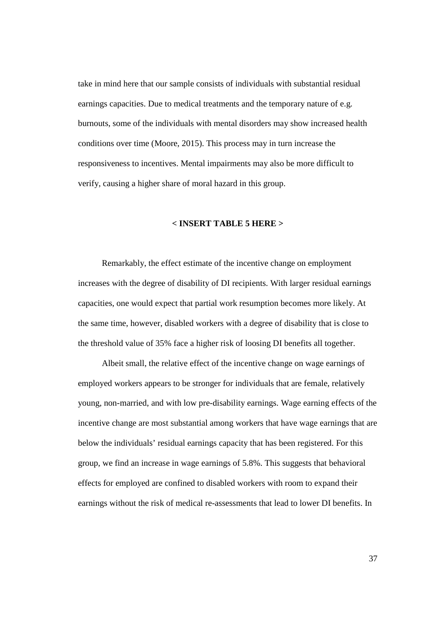take in mind here that our sample consists of individuals with substantial residual earnings capacities. Due to medical treatments and the temporary nature of e.g. burnouts, some of the individuals with mental disorders may show increased health conditions over time (Moore, 2015). This process may in turn increase the responsiveness to incentives. Mental impairments may also be more difficult to verify, causing a higher share of moral hazard in this group.

### **< INSERT TABLE 5 HERE >**

Remarkably, the effect estimate of the incentive change on employment increases with the degree of disability of DI recipients. With larger residual earnings capacities, one would expect that partial work resumption becomes more likely. At the same time, however, disabled workers with a degree of disability that is close to the threshold value of 35% face a higher risk of loosing DI benefits all together.

Albeit small, the relative effect of the incentive change on wage earnings of employed workers appears to be stronger for individuals that are female, relatively young, non-married, and with low pre-disability earnings. Wage earning effects of the incentive change are most substantial among workers that have wage earnings that are below the individuals' residual earnings capacity that has been registered. For this group, we find an increase in wage earnings of 5.8%. This suggests that behavioral effects for employed are confined to disabled workers with room to expand their earnings without the risk of medical re-assessments that lead to lower DI benefits. In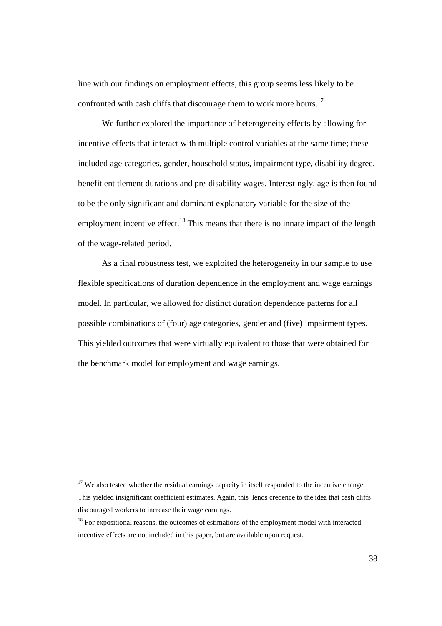line with our findings on employment effects, this group seems less likely to be confronted with cash cliffs that discourage them to work more hours.<sup>17</sup>

We further explored the importance of heterogeneity effects by allowing for incentive effects that interact with multiple control variables at the same time; these included age categories, gender, household status, impairment type, disability degree, benefit entitlement durations and pre-disability wages. Interestingly, age is then found to be the only significant and dominant explanatory variable for the size of the employment incentive effect.<sup>18</sup> This means that there is no innate impact of the length of the wage-related period.

As a final robustness test, we exploited the heterogeneity in our sample to use flexible specifications of duration dependence in the employment and wage earnings model. In particular, we allowed for distinct duration dependence patterns for all possible combinations of (four) age categories, gender and (five) impairment types. This yielded outcomes that were virtually equivalent to those that were obtained for the benchmark model for employment and wage earnings.

-

<sup>&</sup>lt;sup>17</sup> We also tested whether the residual earnings capacity in itself responded to the incentive change. This yielded insignificant coefficient estimates. Again, this lends credence to the idea that cash cliffs discouraged workers to increase their wage earnings.

<sup>&</sup>lt;sup>18</sup> For expositional reasons, the outcomes of estimations of the employment model with interacted incentive effects are not included in this paper, but are available upon request.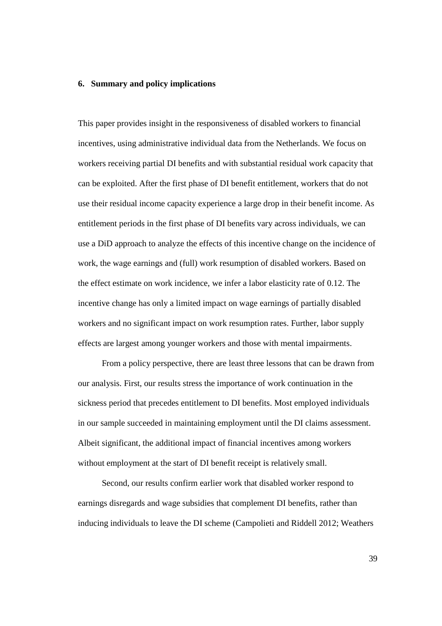#### **6. Summary and policy implications**

This paper provides insight in the responsiveness of disabled workers to financial incentives, using administrative individual data from the Netherlands. We focus on workers receiving partial DI benefits and with substantial residual work capacity that can be exploited. After the first phase of DI benefit entitlement, workers that do not use their residual income capacity experience a large drop in their benefit income. As entitlement periods in the first phase of DI benefits vary across individuals, we can use a DiD approach to analyze the effects of this incentive change on the incidence of work, the wage earnings and (full) work resumption of disabled workers. Based on the effect estimate on work incidence, we infer a labor elasticity rate of 0.12. The incentive change has only a limited impact on wage earnings of partially disabled workers and no significant impact on work resumption rates. Further, labor supply effects are largest among younger workers and those with mental impairments.

From a policy perspective, there are least three lessons that can be drawn from our analysis. First, our results stress the importance of work continuation in the sickness period that precedes entitlement to DI benefits. Most employed individuals in our sample succeeded in maintaining employment until the DI claims assessment. Albeit significant, the additional impact of financial incentives among workers without employment at the start of DI benefit receipt is relatively small.

Second, our results confirm earlier work that disabled worker respond to earnings disregards and wage subsidies that complement DI benefits, rather than inducing individuals to leave the DI scheme (Campolieti and Riddell 2012; Weathers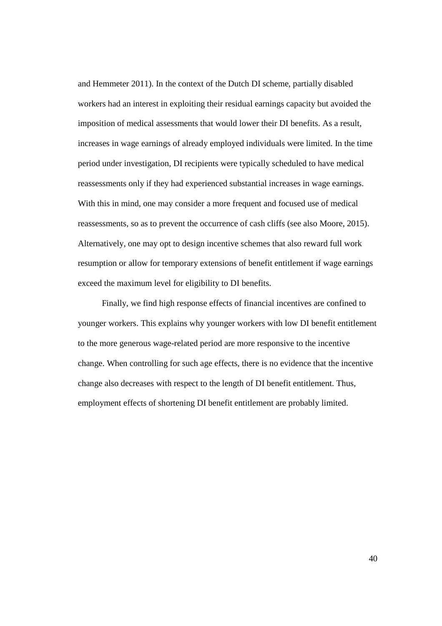and Hemmeter 2011). In the context of the Dutch DI scheme, partially disabled workers had an interest in exploiting their residual earnings capacity but avoided the imposition of medical assessments that would lower their DI benefits. As a result, increases in wage earnings of already employed individuals were limited. In the time period under investigation, DI recipients were typically scheduled to have medical reassessments only if they had experienced substantial increases in wage earnings. With this in mind, one may consider a more frequent and focused use of medical reassessments, so as to prevent the occurrence of cash cliffs (see also Moore, 2015). Alternatively, one may opt to design incentive schemes that also reward full work resumption or allow for temporary extensions of benefit entitlement if wage earnings exceed the maximum level for eligibility to DI benefits.

Finally, we find high response effects of financial incentives are confined to younger workers. This explains why younger workers with low DI benefit entitlement to the more generous wage-related period are more responsive to the incentive change. When controlling for such age effects, there is no evidence that the incentive change also decreases with respect to the length of DI benefit entitlement. Thus, employment effects of shortening DI benefit entitlement are probably limited.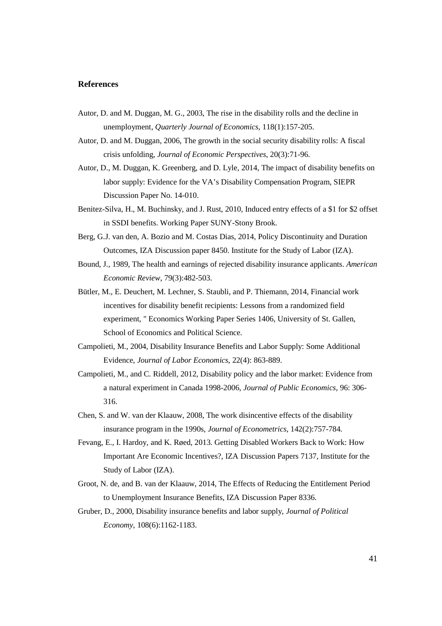#### **References**

- Autor, D. and M. Duggan, M. G., 2003, The rise in the disability rolls and the decline in unemployment, *Quarterly Journal of Economics*, 118(1):157-205.
- Autor, D. and M. Duggan, 2006, The growth in the social security disability rolls: A fiscal crisis unfolding, *Journal of Economic Perspectives*, 20(3):71-96.
- Autor, D., M. Duggan, K. Greenberg, and D. Lyle, 2014, The impact of disability benefits on labor supply: Evidence for the VA's Disability Compensation Program, SIEPR Discussion Paper No. 14-010.
- Benitez-Silva, H., M. Buchinsky, and J. Rust, 2010, Induced entry effects of a \$1 for \$2 offset in SSDI benefits. Working Paper SUNY-Stony Brook.
- Berg, G.J. van den, A. Bozio and M. Costas Dias, 2014, Policy Discontinuity and Duration Outcomes, IZA Discussion paper 8450. Institute for the Study of Labor (IZA).
- Bound, J., 1989, The health and earnings of rejected disability insurance applicants. *American Economic Review*, 79(3):482-503.
- Bütler, M., E. Deuchert, M. Lechner, S. Staubli, and P. Thiemann, 2014, Financial work incentives for disability benefit recipients: Lessons from a randomized field experiment, " Economics Working Paper Series 1406, University of St. Gallen, School of Economics and Political Science.
- Campolieti, M., 2004, Disability Insurance Benefits and Labor Supply: Some Additional Evidence, *Journal of Labor Economics*, 22(4): 863-889.
- Campolieti, M., and C. Riddell, 2012, Disability policy and the labor market: Evidence from a natural experiment in Canada 1998-2006, *Journal of Public Economics*, 96: 306- 316.
- Chen, S. and W. van der Klaauw, 2008, The work disincentive effects of the disability insurance program in the 1990s, *Journal of Econometrics*, 142(2):757-784.
- Fevang, E., I. Hardoy, and K. Røed, 2013. Getting Disabled Workers Back to Work: How Important Are Economic Incentives?, IZA Discussion Papers 7137, Institute for the Study of Labor (IZA).
- Groot, N. de, and B. van der Klaauw, 2014, The Effects of Reducing the Entitlement Period to Unemployment Insurance Benefits, IZA Discussion Paper 8336.
- Gruber, D., 2000, Disability insurance benefits and labor supply, *Journal of Political Economy*, 108(6):1162-1183.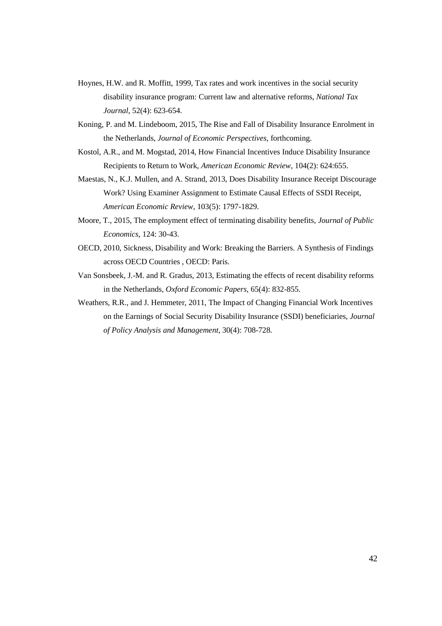- Hoynes, H.W. and R. Moffitt, 1999, Tax rates and work incentives in the social security disability insurance program: Current law and alternative reforms, *National Tax Journal*, 52(4): 623-654.
- Koning, P. and M. Lindeboom, 2015, The Rise and Fall of Disability Insurance Enrolment in the Netherlands, *Journal of Economic Perspectives*, forthcoming.
- Kostol, A.R., and M. Mogstad, 2014, How Financial Incentives Induce Disability Insurance Recipients to Return to Work, *American Economic Review*, 104(2): 624:655.
- Maestas, N., K.J. Mullen, and A. Strand, 2013, Does Disability Insurance Receipt Discourage Work? Using Examiner Assignment to Estimate Causal Effects of SSDI Receipt, *American Economic Review*, 103(5): 1797-1829.
- Moore, T., 2015, The employment effect of terminating disability benefits, *Journal of Public Economics*, 124: 30-43.
- OECD, 2010, Sickness, Disability and Work: Breaking the Barriers. A Synthesis of Findings across OECD Countries , OECD: Paris.
- Van Sonsbeek, J.-M. and R. Gradus, 2013, Estimating the effects of recent disability reforms in the Netherlands, *Oxford Economic Papers*, 65(4): 832-855.
- Weathers, R.R., and J. Hemmeter, 2011, The Impact of Changing Financial Work Incentives on the Earnings of Social Security Disability Insurance (SSDI) beneficiaries, *Journal of Policy Analysis and Management*, 30(4): 708-728.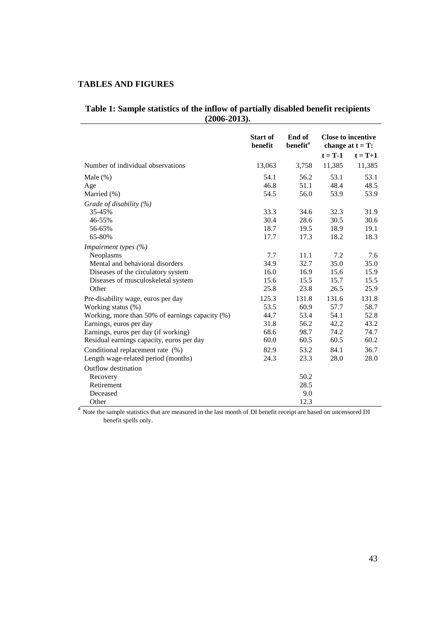# **TABLES AND FIGURES**

# **Table 1: Sample statistics of the inflow of partially disabled benefit recipients (2006-2013).**

|                                                                                                                              | <b>Start of</b><br>benefit | End of<br>benefit <sup>a</sup> | <b>Close to incentive</b><br>change at $t = T$ : |           |  |
|------------------------------------------------------------------------------------------------------------------------------|----------------------------|--------------------------------|--------------------------------------------------|-----------|--|
|                                                                                                                              |                            |                                | $t = T-1$                                        | $t = T+1$ |  |
| Number of individual observations                                                                                            | 13,063                     | 3,758                          | 11,385                                           | 11,385    |  |
| Male $(\%)$                                                                                                                  | 54.1                       | 56.2                           | 53.1                                             | 53.1      |  |
| Age                                                                                                                          | 46.8                       | 51.1                           | 48.4                                             | 48.5      |  |
| Married (%)                                                                                                                  | 54.5                       | 56.0                           | 53.9                                             | 53.9      |  |
| Grade of disability $(\%)$                                                                                                   |                            |                                |                                                  |           |  |
| 35-45%                                                                                                                       | 33.3                       | 34.6                           | 32.3                                             | 31.9      |  |
| 46-55%                                                                                                                       | 30.4                       | 28.6                           | 30.5                                             | 30.6      |  |
| 56-65%                                                                                                                       | 18.7                       | 19.5                           | 18.9                                             | 19.1      |  |
| 65-80%                                                                                                                       | 17.7                       | 17.3                           | 18.2                                             | 18.3      |  |
| Impairment types (%)                                                                                                         |                            |                                |                                                  |           |  |
| Neoplasms                                                                                                                    | 7.7                        | 11.1                           | 7.2                                              | 7.6       |  |
| Mental and behavioral disorders                                                                                              | 34.9                       | 32.7                           | 35.0                                             | 35.0      |  |
| Diseases of the circulatory system                                                                                           | 16.0                       | 16.9                           | 15.6                                             | 15.9      |  |
| Diseases of musculoskeletal system                                                                                           | 15.6                       | 15.5                           | 15.7                                             | 15.5      |  |
| Other                                                                                                                        | 25.8                       | 23.8                           | 26.5                                             | 25.9      |  |
| Pre-disability wage, euros per day                                                                                           | 125.3                      | 131.8                          | 131.6                                            | 131.8     |  |
| Working status (%)                                                                                                           | 53.5                       | 60.9                           | 57.7                                             | 58.7      |  |
| Working, more than 50% of earnings capacity (%)                                                                              | 44.7                       | 53.4                           | 54.1                                             | 52.8      |  |
| Earnings, euros per day                                                                                                      | 31.8                       | 56.2                           | 42.2                                             | 43.2      |  |
| Earnings, euros per day (if working)                                                                                         | 68.6                       | 98.7                           | 74.2                                             | 74.7      |  |
| Residual earnings capacity, euros per day                                                                                    | 60.0                       | 60.5                           | 60.5                                             | 60.2      |  |
| Conditional replacement rate (%)                                                                                             | 82.9                       | 53.2                           | 84.1                                             | 36.7      |  |
| Length wage-related period (months)                                                                                          | 24.3                       | 23.3                           | 28.0                                             | 28.0      |  |
| Outflow destination                                                                                                          |                            |                                |                                                  |           |  |
| Recovery                                                                                                                     |                            | 50.2                           |                                                  |           |  |
| Retirement                                                                                                                   |                            | 28.5                           |                                                  |           |  |
| Deceased                                                                                                                     |                            | 9.0                            |                                                  |           |  |
| Other                                                                                                                        |                            | 12.3                           |                                                  |           |  |
| <sup>a</sup> Note the sample statistics that are measured in the last month of DI benefit receipt are based on uncensored DI |                            |                                |                                                  |           |  |

benefit spells only.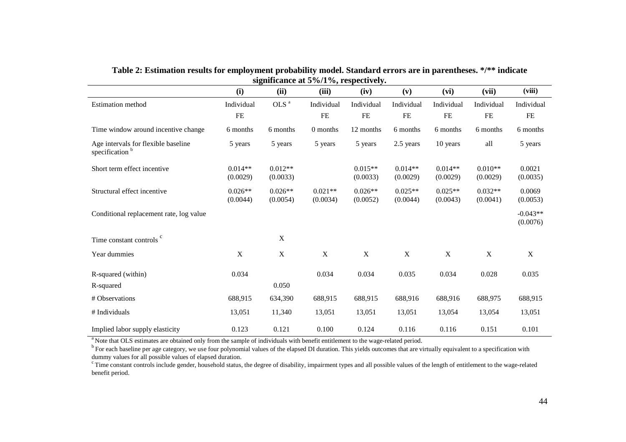| $\frac{3}{2}$ and $\frac{3}{2}$ at $\frac{3}{2}$ / $\frac{3}{2}$ / $\frac{3}{2}$ its peet very. |             |                           |                           |             |             |             |             |                        |
|-------------------------------------------------------------------------------------------------|-------------|---------------------------|---------------------------|-------------|-------------|-------------|-------------|------------------------|
|                                                                                                 | (i)         | (ii)                      | (iii)                     | (iv)        | (v)         | (vi)        | (vii)       | (viii)                 |
| Estimation method                                                                               | Individual  | OLS <sup>a</sup>          | Individual                | Individual  | Individual  | Individual  | Individual  | Individual             |
|                                                                                                 | FE          |                           | FE                        | FE          | FE          | FE          | FE          | FE                     |
| Time window around incentive change                                                             | 6 months    | 6 months                  | 0 months                  | 12 months   | 6 months    | 6 months    | 6 months    | 6 months               |
| Age intervals for flexible baseline<br>specification <sup>b</sup>                               | 5 years     | 5 years                   | 5 years                   | 5 years     | 2.5 years   | 10 years    | all         | 5 years                |
| Short term effect incentive                                                                     | $0.014**$   | $0.012**$                 |                           | $0.015**$   | $0.014**$   | $0.014**$   | $0.010**$   | 0.0021                 |
|                                                                                                 | (0.0029)    | (0.0033)                  |                           | (0.0033)    | (0.0029)    | (0.0029)    | (0.0029)    | (0.0035)               |
| Structural effect incentive                                                                     | $0.026**$   | $0.026**$                 | $0.021**$                 | $0.026**$   | $0.025**$   | $0.025**$   | $0.032**$   | 0.0069                 |
|                                                                                                 | (0.0044)    | (0.0054)                  | (0.0034)                  | (0.0052)    | (0.0044)    | (0.0043)    | (0.0041)    | (0.0053)               |
| Conditional replacement rate, log value                                                         |             |                           |                           |             |             |             |             | $-0.043**$<br>(0.0076) |
| Time constant controls <sup>c</sup>                                                             |             | $\mathbf X$               |                           |             |             |             |             |                        |
| Year dummies                                                                                    | $\mathbf X$ | $\boldsymbol{\mathrm{X}}$ | $\boldsymbol{\mathrm{X}}$ | $\mathbf X$ | $\mathbf X$ | $\mathbf X$ | $\mathbf X$ | $\mathbf X$            |
| R-squared (within)                                                                              | 0.034       |                           | 0.034                     | 0.034       | 0.035       | 0.034       | 0.028       | 0.035                  |
| R-squared                                                                                       |             | 0.050                     |                           |             |             |             |             |                        |
| # Observations                                                                                  | 688,915     | 634,390                   | 688,915                   | 688,915     | 688,916     | 688,916     | 688,975     | 688,915                |
| # Individuals                                                                                   | 13,051      | 11,340                    | 13,051                    | 13,051      | 13,051      | 13,054      | 13,054      | 13,051                 |
| Implied labor supply elasticity                                                                 | 0.123       | 0.121                     | 0.100                     | 0.124       | 0.116       | 0.116       | 0.151       | 0.101                  |

**Table 2: Estimation results for employment probability model. Standard errors are in parentheses. \*/\*\* indicate significance at 5%/1%, respectively.** 

<sup>a</sup> Note that OLS estimates are obtained only from the sample of individuals with benefit entitlement to the wage-related period.

<sup>b</sup> For each baseline per age category, we use four polynomial values of the elapsed DI duration. This yields outcomes that are virtually equivalent to a specification with dummy values for all possible values of elapsed duration.

 $\textdegree$  Time constant controls include gender, household status, the degree of disability, impairment types and all possible values of the length of entitlement to the wage-related benefit period.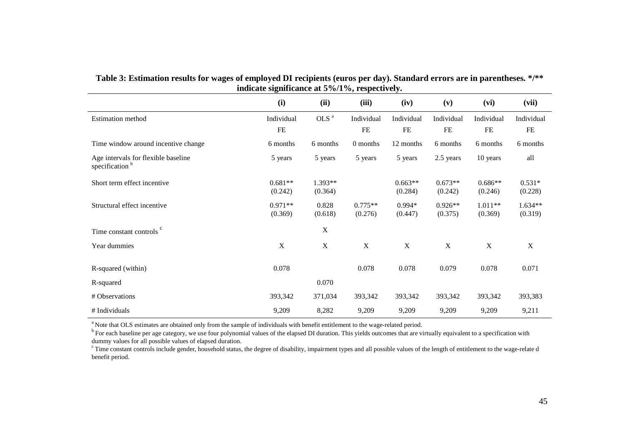| indicate significance at $5\%/1\%$ , respectively.                |             |                  |            |             |             |            |            |
|-------------------------------------------------------------------|-------------|------------------|------------|-------------|-------------|------------|------------|
|                                                                   | (i)         | (ii)             | (iii)      | (iv)        | (v)         | (vi)       | (vii)      |
| <b>Estimation</b> method                                          | Individual  | OLS <sup>a</sup> | Individual | Individual  | Individual  | Individual | Individual |
|                                                                   | FE          |                  | $FE$       | $\rm FE$    | FE          | FE         | $\rm FE$   |
| Time window around incentive change                               | 6 months    | 6 months         | 0 months   | 12 months   | 6 months    | 6 months   | 6 months   |
| Age intervals for flexible baseline<br>specification <sup>b</sup> | 5 years     | 5 years          | 5 years    | 5 years     | 2.5 years   | 10 years   | all        |
| Short term effect incentive                                       | $0.681**$   | $1.393**$        |            | $0.663**$   | $0.673**$   | $0.686**$  | $0.531*$   |
|                                                                   | (0.242)     | (0.364)          |            | (0.284)     | (0.242)     | (0.246)    | (0.228)    |
| Structural effect incentive                                       | $0.971**$   | 0.828            | $0.775**$  | $0.994*$    | $0.926**$   | $1.011**$  | $1.634**$  |
|                                                                   | (0.369)     | (0.618)          | (0.276)    | (0.447)     | (0.375)     | (0.369)    | (0.319)    |
| Time constant controls <sup>c</sup>                               |             | $\mathbf X$      |            |             |             |            |            |
| Year dummies                                                      | $\mathbf X$ | $\mathbf X$      | X          | $\mathbf X$ | $\mathbf X$ | X          | X          |
| R-squared (within)                                                | 0.078       |                  | 0.078      | 0.078       | 0.079       | 0.078      | 0.071      |
| R-squared                                                         |             | 0.070            |            |             |             |            |            |
| # Observations                                                    | 393,342     | 371,034          | 393,342    | 393,342     | 393,342     | 393,342    | 393,383    |
| # Individuals                                                     | 9,209       | 8,282            | 9,209      | 9,209       | 9,209       | 9,209      | 9,211      |

**Table 3: Estimation results for wages of employed DI recipients (euros per day). Standard errors are in parentheses. \*/\*\* indicate significance at 5%/1%, respectively.** 

<sup>a</sup>Note that OLS estimates are obtained only from the sample of individuals with benefit entitlement to the wage-related period.

<sup>b</sup> For each baseline per age category, we use four polynomial values of the elapsed DI duration. This yields outcomes that are virtually equivalent to a specification with dummy values for all possible values of elapsed duration.

 $\textdegree$  Time constant controls include gender, household status, the degree of disability, impairment types and all possible values of the length of entitlement to the wage-relate d benefit period.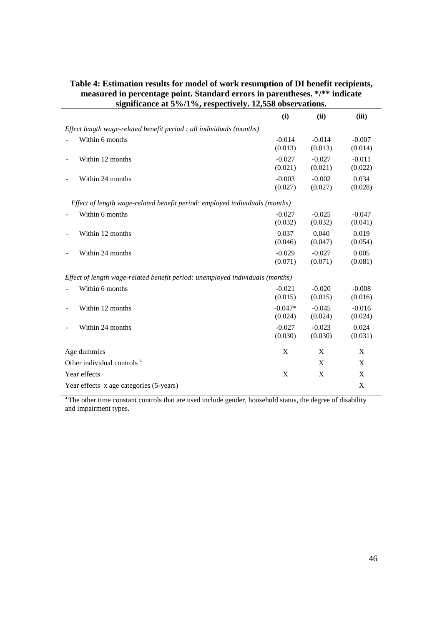| $\frac{1}{2}$ significance at $\frac{1}{2}$ /0/1 /0, respectively. 12,550 00Set validity. |           |          |          |
|-------------------------------------------------------------------------------------------|-----------|----------|----------|
|                                                                                           | (i)       | (ii)     | (iii)    |
| Effect length wage-related benefit period : all individuals (months)                      |           |          |          |
| Within 6 months                                                                           | $-0.014$  | $-0.014$ | $-0.007$ |
|                                                                                           | (0.013)   | (0.013)  | (0.014)  |
| Within 12 months                                                                          | $-0.027$  | $-0.027$ | $-0.011$ |
|                                                                                           | (0.021)   | (0.021)  | (0.022)  |
| Within 24 months                                                                          | $-0.003$  | $-0.002$ | 0.034    |
|                                                                                           | (0.027)   | (0.027)  | (0.028)  |
| Effect of length wage-related benefit period: employed individuals (months)               |           |          |          |
| Within 6 months                                                                           | $-0.027$  | $-0.025$ | $-0.047$ |
|                                                                                           | (0.032)   | (0.032)  | (0.041)  |
| Within 12 months                                                                          | 0.037     | 0.040    | 0.019    |
|                                                                                           | (0.046)   | (0.047)  | (0.054)  |
| Within 24 months                                                                          | $-0.029$  | $-0.027$ | 0.005    |
|                                                                                           | (0.071)   | (0.071)  | (0.081)  |
| Effect of length wage-related benefit period: unemployed individuals (months)             |           |          |          |
| Within 6 months                                                                           | $-0.021$  | $-0.020$ | $-0.008$ |
|                                                                                           | (0.015)   | (0.015)  | (0.016)  |
| Within 12 months                                                                          | $-0.047*$ | $-0.045$ | $-0.016$ |
|                                                                                           | (0.024)   | (0.024)  | (0.024)  |
| Within 24 months                                                                          | $-0.027$  | $-0.023$ | 0.024    |
|                                                                                           | (0.030)   | (0.030)  | (0.031)  |
| Age dummies                                                                               | X         | X        | X        |
| Other individual controls <sup>a</sup>                                                    |           | X        | X        |
| Year effects                                                                              | X         | X        | X        |
| Year effects x age categories (5-years)                                                   |           |          | X        |

# **Table 4: Estimation results for model of work resumption of DI benefit recipients, measured in percentage point. Standard errors in parentheses. \*/\*\* indicate significance at 5%/1%, respectively. 12,558 observations.**

l,

<sup>a</sup>The other time constant controls that are used include gender, household status, the degree of disability and impairment types.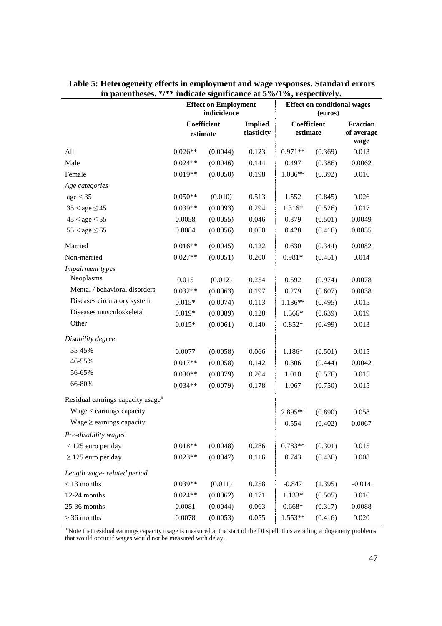| m parchmeses.                                 | mureau significance at $\frac{1}{2}$ /0/1 /0, respectively:<br><b>Effect on Employment</b> |          |                              | <b>Effect on conditional wages</b> |         |                               |  |
|-----------------------------------------------|--------------------------------------------------------------------------------------------|----------|------------------------------|------------------------------------|---------|-------------------------------|--|
|                                               | indicidence                                                                                |          |                              | (euros)<br>Coefficient             |         |                               |  |
|                                               | Coefficient<br>$\it estimate$                                                              |          | <b>Implied</b><br>elasticity | estimate                           |         | <b>Fraction</b><br>of average |  |
|                                               |                                                                                            |          |                              |                                    |         | wage                          |  |
| All                                           | $0.026**$                                                                                  | (0.0044) | 0.123                        | $0.971**$                          | (0.369) | 0.013                         |  |
| Male                                          | $0.024**$                                                                                  | (0.0046) | 0.144                        | 0.497                              | (0.386) | 0.0062                        |  |
| Female                                        | $0.019**$                                                                                  | (0.0050) | 0.198                        | $1.086**$                          | (0.392) | 0.016                         |  |
| Age categories                                |                                                                                            |          |                              |                                    |         |                               |  |
| age < 35                                      | $0.050**$                                                                                  | (0.010)  | 0.513                        | 1.552                              | (0.845) | 0.026                         |  |
| $35 <$ age $\leq 45$                          | $0.039**$                                                                                  | (0.0093) | 0.294                        | 1.316*                             | (0.526) | 0.017                         |  |
| $45 < age \leq 55$                            | 0.0058                                                                                     | (0.0055) | 0.046                        | 0.379                              | (0.501) | 0.0049                        |  |
| $55 < age \leq 65$                            | 0.0084                                                                                     | (0.0056) | 0.050                        | 0.428                              | (0.416) | 0.0055                        |  |
| Married                                       | $0.016**$                                                                                  | (0.0045) | 0.122                        | 0.630                              | (0.344) | 0.0082                        |  |
| Non-married                                   | $0.027**$                                                                                  | (0.0051) | 0.200                        | 0.981*                             | (0.451) | 0.014                         |  |
| Impairment types                              |                                                                                            |          |                              |                                    |         |                               |  |
| Neoplasms                                     | 0.015                                                                                      | (0.012)  | 0.254                        | 0.592                              | (0.974) | 0.0078                        |  |
| Mental / behavioral disorders                 | $0.032**$                                                                                  | (0.0063) | 0.197                        | 0.279                              | (0.607) | 0.0038                        |  |
| Diseases circulatory system                   | $0.015*$                                                                                   | (0.0074) | 0.113                        | 1.136**                            | (0.495) | 0.015                         |  |
| Diseases musculoskeletal                      | $0.019*$                                                                                   | (0.0089) | 0.128                        | 1.366*                             | (0.639) | 0.019                         |  |
| Other                                         | $0.015*$                                                                                   | (0.0061) | 0.140                        | $0.852*$                           | (0.499) | 0.013                         |  |
| Disability degree                             |                                                                                            |          |                              |                                    |         |                               |  |
| 35-45%                                        | 0.0077                                                                                     | (0.0058) | 0.066                        | 1.186*                             | (0.501) | 0.015                         |  |
| 46-55%                                        | $0.017**$                                                                                  | (0.0058) | 0.142                        | 0.306                              | (0.444) | 0.0042                        |  |
| 56-65%                                        | $0.030**$                                                                                  | (0.0079) | 0.204                        | 1.010                              | (0.576) | 0.015                         |  |
| 66-80%                                        | $0.034**$                                                                                  | (0.0079) | 0.178                        | 1.067                              | (0.750) | 0.015                         |  |
| Residual earnings capacity usage <sup>a</sup> |                                                                                            |          |                              |                                    |         |                               |  |
| Wage < earnings capacity                      |                                                                                            |          |                              | $2.895**$                          | (0.890) | 0.058                         |  |
| Wage $\ge$ earnings capacity                  |                                                                                            |          |                              | 0.554                              | (0.402) | 0.0067                        |  |
| Pre-disability wages                          |                                                                                            |          |                              |                                    |         |                               |  |
| $<$ 125 euro per day                          | $0.018**$                                                                                  | (0.0048) | 0.286                        | $0.783**$                          | (0.301) | 0.015                         |  |
| $\geq$ 125 euro per day                       | $0.023**$                                                                                  | (0.0047) | 0.116                        | 0.743                              | (0.436) | $0.008\,$                     |  |
| Length wage-related period                    |                                                                                            |          |                              |                                    |         |                               |  |
| $<$ 13 months                                 | $0.039**$                                                                                  | (0.011)  | 0.258                        | $-0.847$                           | (1.395) | $-0.014$                      |  |
| 12-24 months                                  | $0.024**$                                                                                  | (0.0062) | 0.171                        | $1.133*$                           | (0.505) | 0.016                         |  |
| 25-36 months                                  | 0.0081                                                                                     | (0.0044) | 0.063                        | $0.668*$                           | (0.317) | 0.0088                        |  |
| $>$ 36 months                                 | 0.0078                                                                                     | (0.0053) | 0.055                        | 1.553**                            | (0.416) | 0.020                         |  |

|  |  |                                                                             | Table 5: Heterogeneity effects in employment and wage responses. Standard errors |
|--|--|-----------------------------------------------------------------------------|----------------------------------------------------------------------------------|
|  |  | in parentheses. $\frac{k}{*}$ indicate significance at 5%/1%, respectively. |                                                                                  |

<sup>a</sup> Note that residual earnings capacity usage is measured at the start of the DI spell, thus avoiding endogeneity problems that would occur if wages would not be measured with delay.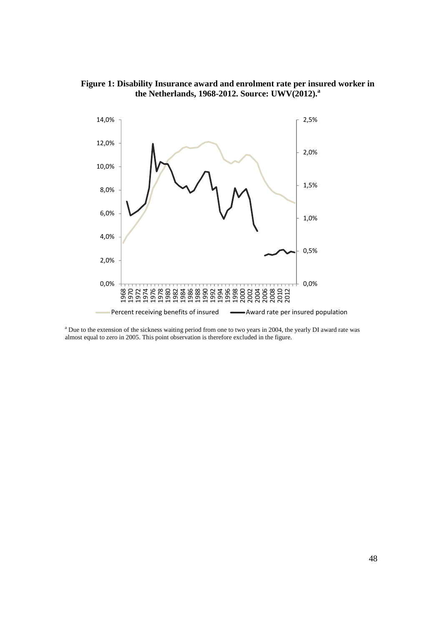



<sup>a</sup> Due to the extension of the sickness waiting period from one to two years in 2004, the yearly DI award rate was almost equal to zero in 2005. This point observation is therefore excluded in the figure.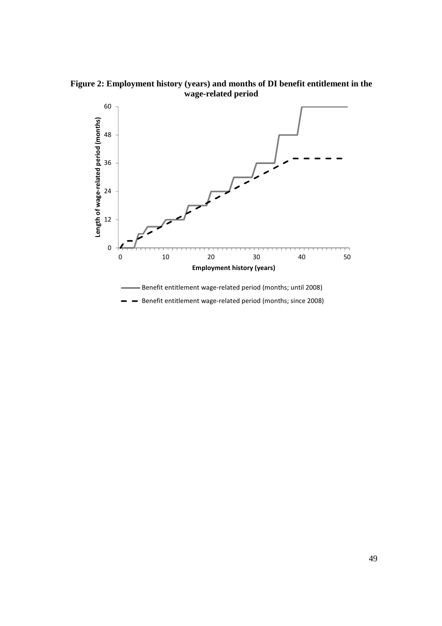**Figure 2: Employment history (years) and months of DI benefit entitlement in the wage-related period** 

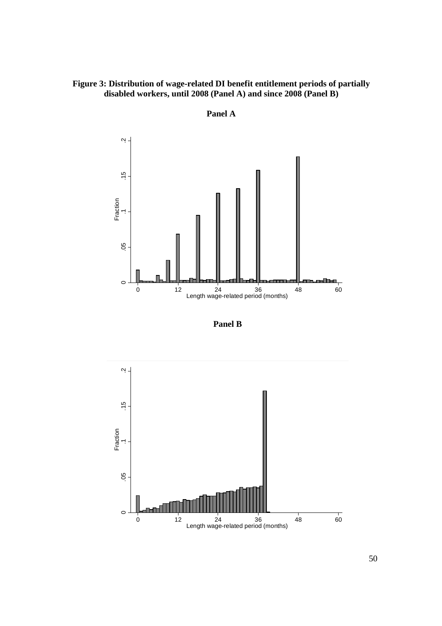# **Figure 3: Distribution of wage-related DI benefit entitlement periods of partially disabled workers, until 2008 (Panel A) and since 2008 (Panel B)**



**Panel A** 



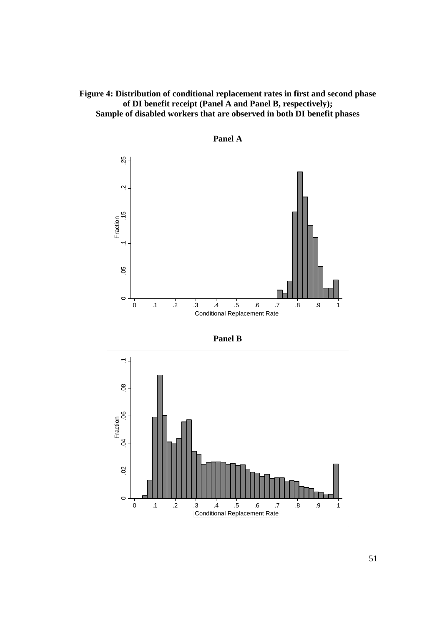# **Figure 4: Distribution of conditional replacement rates in first and second phase of DI benefit receipt (Panel A and Panel B, respectively); Sample of disabled workers that are observed in both DI benefit phases**







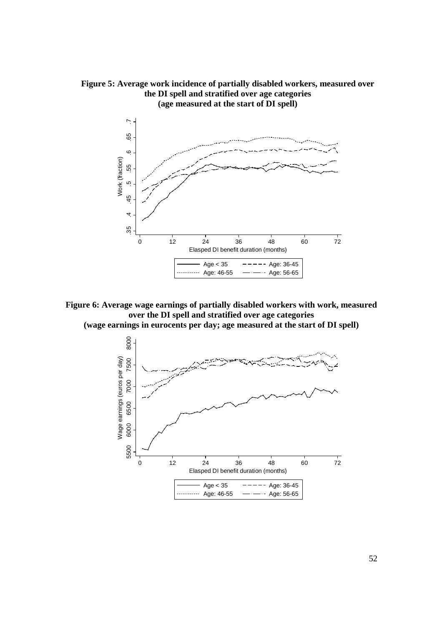

**Figure 5: Average work incidence of partially disabled workers, measured over the DI spell and stratified over age categories (age measured at the start of DI spell)** 

**Figure 6: Average wage earnings of partially disabled workers with work, measured over the DI spell and stratified over age categories** 

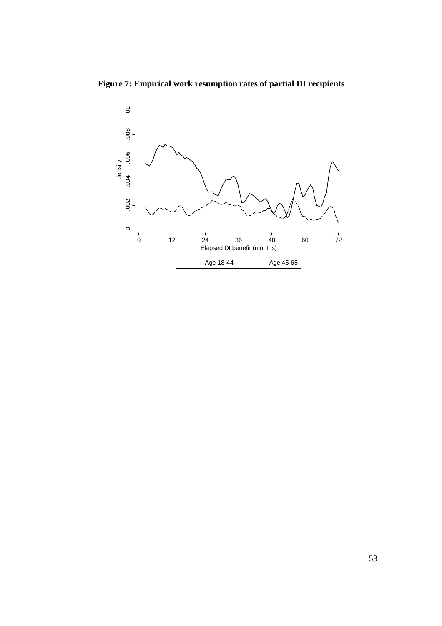**Figure 7: Empirical work resumption rates of partial DI recipients** 

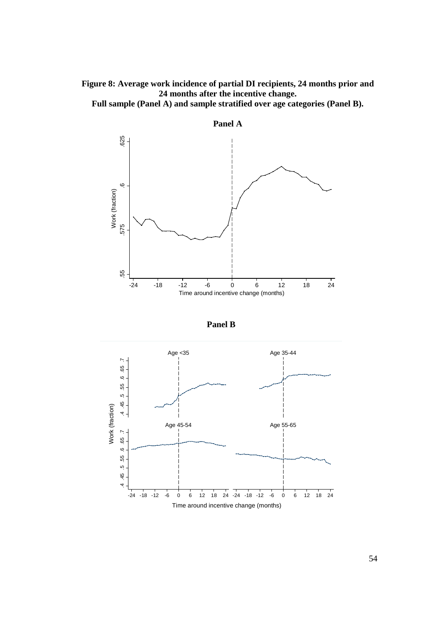

**Full sample (Panel A) and sample stratified over age categories (Panel B).** 





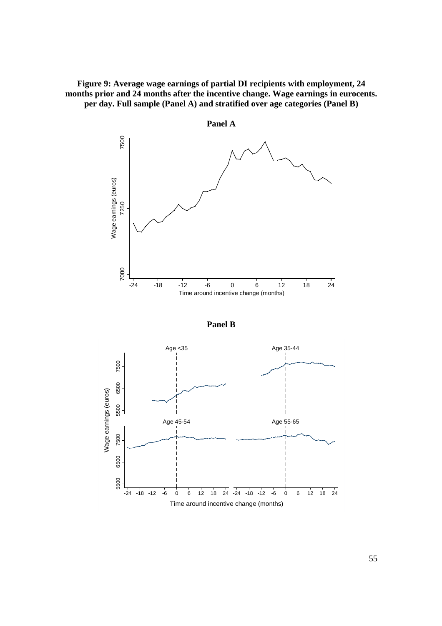**Figure 9: Average wage earnings of partial DI recipients with employment, 24 months prior and 24 months after the incentive change. Wage earnings in eurocents. per day. Full sample (Panel A) and stratified over age categories (Panel B)** 





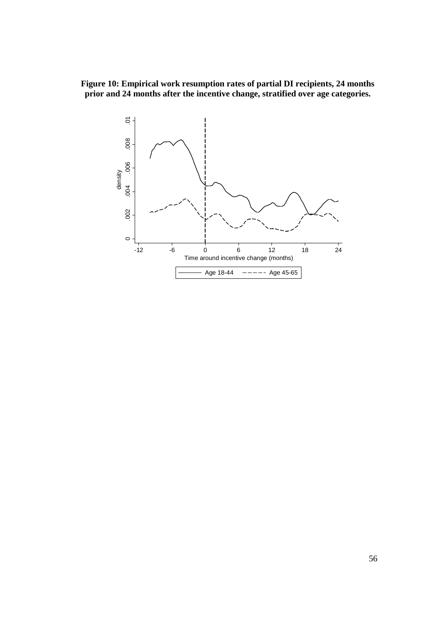**Figure 10: Empirical work resumption rates of partial DI recipients, 24 months prior and 24 months after the incentive change, stratified over age categories.** 

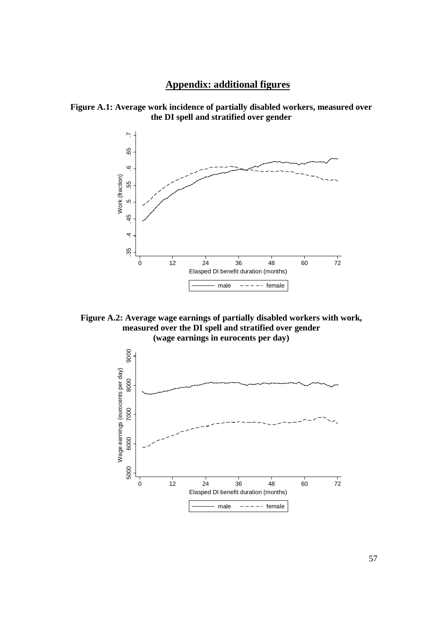# **Appendix: additional figures**





**Figure A.2: Average wage earnings of partially disabled workers with work, measured over the DI spell and stratified over gender (wage earnings in eurocents per day)**

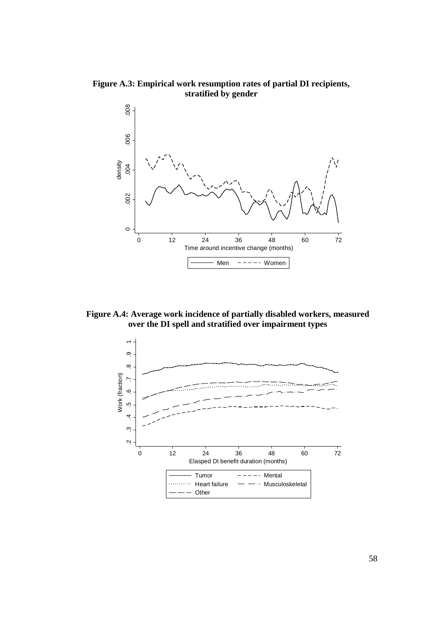**Figure A.3: Empirical work resumption rates of partial DI recipients, stratified by gender** 



**Figure A.4: Average work incidence of partially disabled workers, measured over the DI spell and stratified over impairment types** 

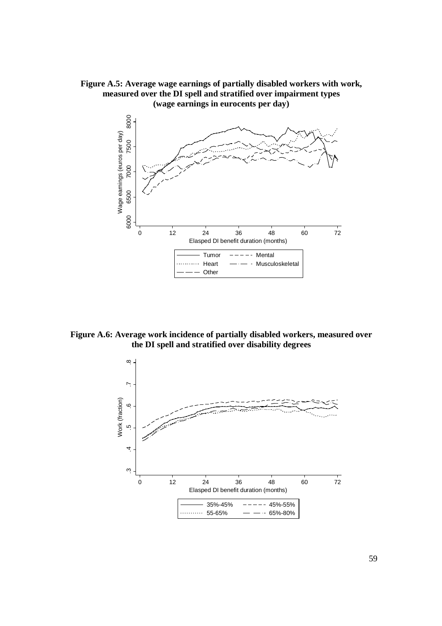



**Figure A.6: Average work incidence of partially disabled workers, measured over the DI spell and stratified over disability degrees**